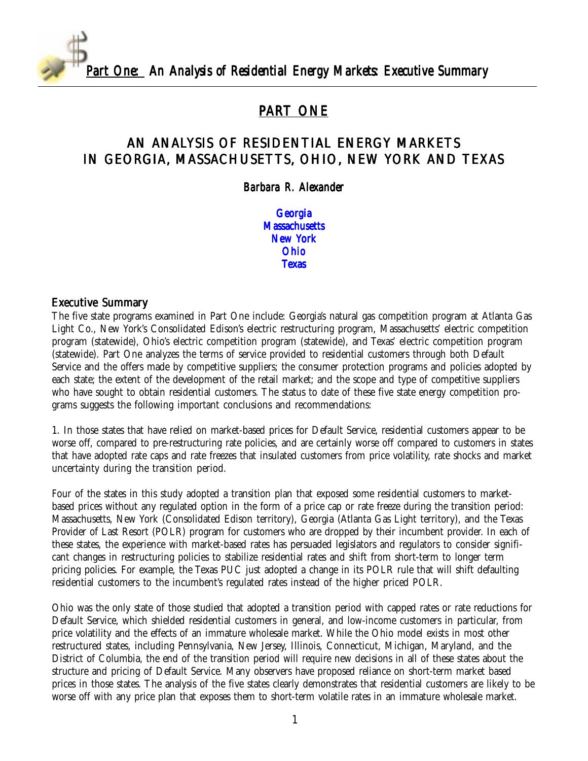

## PART ONE

### AN ANALYSIS OF RESIDENTIAL ENERGY MARKETS IN GEORGIA, MASSACHUSETTS, OHIO, NEW YORK AND TEXAS

#### *Barbara R. Alexander lexander*

[Georgia](#page-3-0) **[Massachusetts](#page-11-0)** [New York](#page-20-0) [Ohio](#page-29-0) **[Texas](#page-34-0)** 

#### Executive Summary

The five state programs examined in Part One include: Georgia's natural gas competition program at Atlanta Gas Light Co., New York's Consolidated Edison's electric restructuring program, Massachusetts' electric competition program (statewide), Ohio's electric competition program (statewide), and Texas' electric competition program (statewide). Part One analyzes the terms of service provided to residential customers through both Default Service and the offers made by competitive suppliers; the consumer protection programs and policies adopted by each state; the extent of the development of the retail market; and the scope and type of competitive suppliers who have sought to obtain residential customers. The status to date of these five state energy competition programs suggests the following important conclusions and recommendations:

1. In those states that have relied on market-based prices for Default Service, residential customers appear to be worse off, compared to pre-restructuring rate policies, and are certainly worse off compared to customers in states that have adopted rate caps and rate freezes that insulated customers from price volatility, rate shocks and market uncertainty during the transition period.

Four of the states in this study adopted a transition plan that exposed some residential customers to marketbased prices without any regulated option in the form of a price cap or rate freeze during the transition period: Massachusetts, New York (Consolidated Edison territory), Georgia (Atlanta Gas Light territory), and the Texas Provider of Last Resort (POLR) program for customers who are dropped by their incumbent provider. In each of these states, the experience with market-based rates has persuaded legislators and regulators to consider significant changes in restructuring policies to stabilize residential rates and shift from short-term to longer term pricing policies. For example, the Texas PUC just adopted a change in its POLR rule that will shift defaulting residential customers to the incumbent's regulated rates instead of the higher priced POLR.

Ohio was the only state of those studied that adopted a transition period with capped rates or rate reductions for Default Service, which shielded residential customers in general, and low-income customers in particular, from price volatility and the effects of an immature wholesale market. While the Ohio model exists in most other restructured states, including Pennsylvania, New Jersey, Illinois, Connecticut, Michigan, Maryland, and the District of Columbia, the end of the transition period will require new decisions in all of these states about the structure and pricing of Default Service. Many observers have proposed reliance on short-term market based prices in those states. The analysis of the five states clearly demonstrates that residential customers are likely to be worse off with any price plan that exposes them to short-term volatile rates in an immature wholesale market.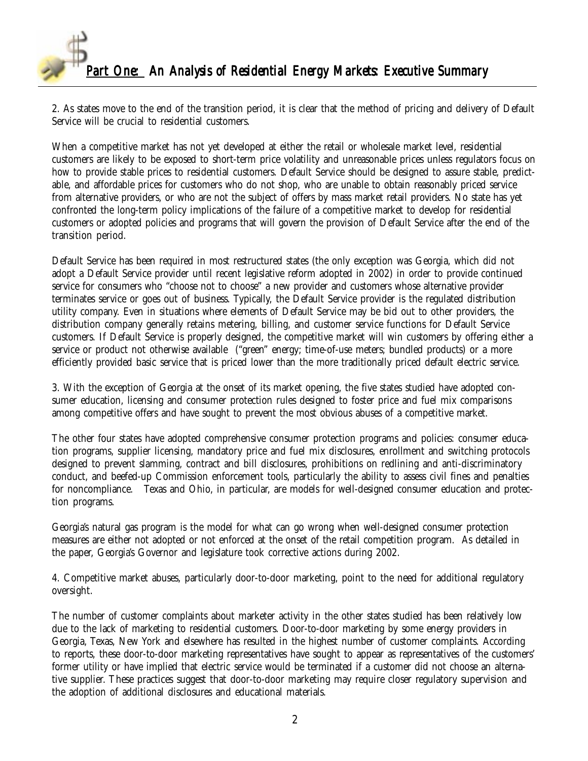2. As states move to the end of the transition period, it is clear that the method of pricing and delivery of Default Service will be crucial to residential customers.

When a competitive market has not yet developed at either the retail or wholesale market level, residential customers are likely to be exposed to short-term price volatility and unreasonable prices unless regulators focus on how to provide stable prices to residential customers. Default Service should be designed to assure stable, predictable, and affordable prices for customers who do not shop, who are unable to obtain reasonably priced service from alternative providers, or who are not the subject of offers by mass market retail providers. No state has yet confronted the long-term policy implications of the failure of a competitive market to develop for residential customers or adopted policies and programs that will govern the provision of Default Service after the end of the transition period.

Default Service has been required in most restructured states (the only exception was Georgia, which did not adopt a Default Service provider until recent legislative reform adopted in 2002) in order to provide continued service for consumers who "choose not to choose" a new provider and customers whose alternative provider terminates service or goes out of business. Typically, the Default Service provider is the regulated distribution utility company. Even in situations where elements of Default Service may be bid out to other providers, the distribution company generally retains metering, billing, and customer service functions for Default Service customers. If Default Service is properly designed, the competitive market will win customers by offering either a service or product not otherwise available ("green" energy; time-of-use meters; bundled products) or a more efficiently provided basic service that is priced lower than the more traditionally priced default electric service.

3. With the exception of Georgia at the onset of its market opening, the five states studied have adopted consumer education, licensing and consumer protection rules designed to foster price and fuel mix comparisons among competitive offers and have sought to prevent the most obvious abuses of a competitive market.

The other four states have adopted comprehensive consumer protection programs and policies: consumer education programs, supplier licensing, mandatory price and fuel mix disclosures, enrollment and switching protocols designed to prevent slamming, contract and bill disclosures, prohibitions on redlining and anti-discriminatory conduct, and beefed-up Commission enforcement tools, particularly the ability to assess civil fines and penalties for noncompliance. Texas and Ohio, in particular, are models for well-designed consumer education and protection programs.

Georgia's natural gas program is the model for what can go wrong when well-designed consumer protection measures are either not adopted or not enforced at the onset of the retail competition program. As detailed in the paper, Georgia's Governor and legislature took corrective actions during 2002.

4. Competitive market abuses, particularly door-to-door marketing, point to the need for additional regulatory oversight.

The number of customer complaints about marketer activity in the other states studied has been relatively low due to the lack of marketing to residential customers. Door-to-door marketing by some energy providers in Georgia, Texas, New York and elsewhere has resulted in the highest number of customer complaints. According to reports, these door-to-door marketing representatives have sought to appear as representatives of the customers' former utility or have implied that electric service would be terminated if a customer did not choose an alternative supplier. These practices suggest that door-to-door marketing may require closer regulatory supervision and the adoption of additional disclosures and educational materials.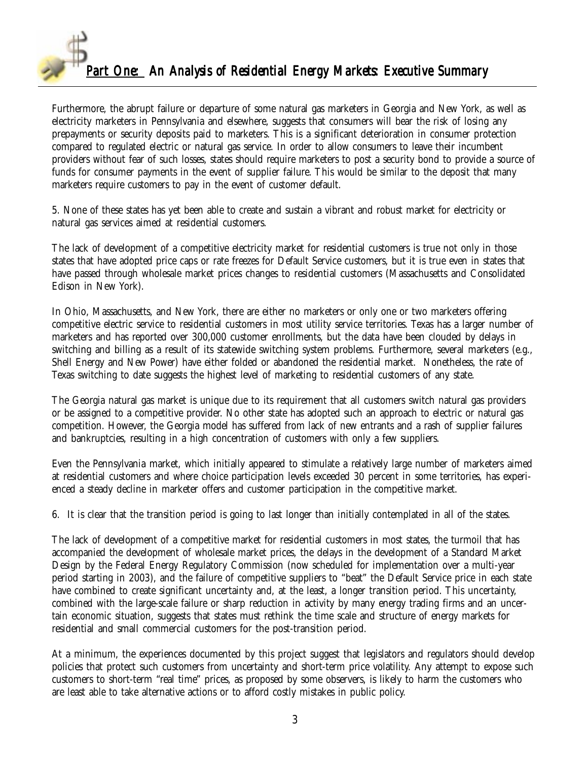

Furthermore, the abrupt failure or departure of some natural gas marketers in Georgia and New York, as well as electricity marketers in Pennsylvania and elsewhere, suggests that consumers will bear the risk of losing any prepayments or security deposits paid to marketers. This is a significant deterioration in consumer protection compared to regulated electric or natural gas service. In order to allow consumers to leave their incumbent providers without fear of such losses, states should require marketers to post a security bond to provide a source of funds for consumer payments in the event of supplier failure. This would be similar to the deposit that many marketers require customers to pay in the event of customer default.

5. None of these states has yet been able to create and sustain a vibrant and robust market for electricity or natural gas services aimed at residential customers.

The lack of development of a competitive electricity market for residential customers is true not only in those states that have adopted price caps or rate freezes for Default Service customers, but it is true even in states that have passed through wholesale market prices changes to residential customers (Massachusetts and Consolidated Edison in New York).

In Ohio, Massachusetts, and New York, there are either no marketers or only one or two marketers offering competitive electric service to residential customers in most utility service territories. Texas has a larger number of marketers and has reported over 300,000 customer enrollments, but the data have been clouded by delays in switching and billing as a result of its statewide switching system problems. Furthermore, several marketers (e.g., Shell Energy and New Power) have either folded or abandoned the residential market. Nonetheless, the rate of Texas switching to date suggests the highest level of marketing to residential customers of any state.

The Georgia natural gas market is unique due to its requirement that all customers switch natural gas providers or be assigned to a competitive provider. No other state has adopted such an approach to electric or natural gas competition. However, the Georgia model has suffered from lack of new entrants and a rash of supplier failures and bankruptcies, resulting in a high concentration of customers with only a few suppliers.

Even the Pennsylvania market, which initially appeared to stimulate a relatively large number of marketers aimed at residential customers and where choice participation levels exceeded 30 percent in some territories, has experienced a steady decline in marketer offers and customer participation in the competitive market.

6. It is clear that the transition period is going to last longer than initially contemplated in all of the states.

The lack of development of a competitive market for residential customers in most states, the turmoil that has accompanied the development of wholesale market prices, the delays in the development of a Standard Market Design by the Federal Energy Regulatory Commission (now scheduled for implementation over a multi-year period starting in 2003), and the failure of competitive suppliers to "beat" the Default Service price in each state have combined to create significant uncertainty and, at the least, a longer transition period. This uncertainty, combined with the large-scale failure or sharp reduction in activity by many energy trading firms and an uncertain economic situation, suggests that states must rethink the time scale and structure of energy markets for residential and small commercial customers for the post-transition period.

At a minimum, the experiences documented by this project suggest that legislators and regulators should develop policies that protect such customers from uncertainty and short-term price volatility. Any attempt to expose such customers to short-term "real time" prices, as proposed by some observers, is likely to harm the customers who are least able to take alternative actions or to afford costly mistakes in public policy.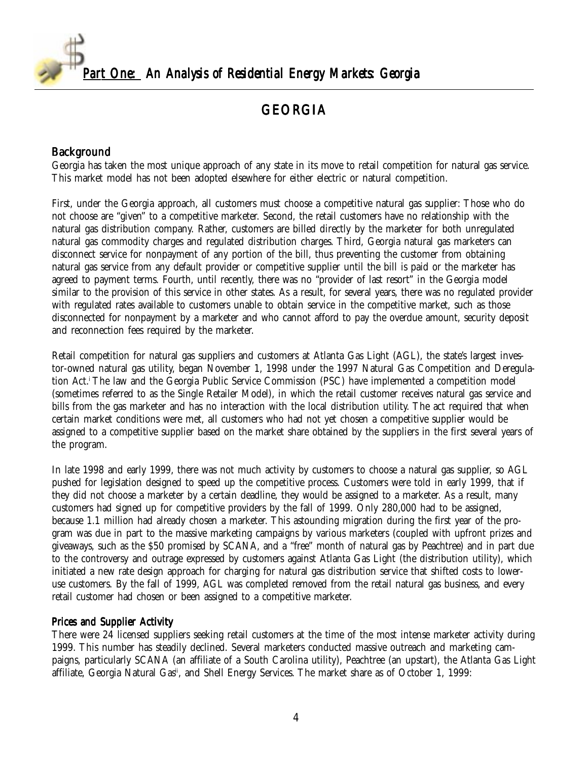<span id="page-3-0"></span>

# GEORGIA

### Background

Georgia has taken the most unique approach of any state in its move to retail competition for natural gas service. This market model has not been adopted elsewhere for either electric or natural competition.

First, under the Georgia approach, all customers must choose a competitive natural gas supplier: Those who do not choose are "given" to a competitive marketer. Second, the retail customers have no relationship with the natural gas distribution company. Rather, customers are billed directly by the marketer for both unregulated natural gas commodity charges and regulated distribution charges. Third, Georgia natural gas marketers can disconnect service for nonpayment of any portion of the bill, thus preventing the customer from obtaining natural gas service from any default provider or competitive supplier until the bill is paid or the marketer has agreed to payment terms. Fourth, until recently, there was no "provider of last resort" in the Georgia model similar to the provision of this service in other states. As a result, for several years, there was no regulated provider with regulated rates available to customers unable to obtain service in the competitive market, such as those disconnected for nonpayment by a marketer and who cannot afford to pay the overdue amount, security deposit and reconnection fees required by the marketer.

Retail competition for natural gas suppliers and customers at Atlanta Gas Light (AGL), the state's largest investor-owned natural gas utility, began November 1, 1998 under the 1997 Natural Gas Competition and Deregulation Act.i The law and the Georgia Public Service Commission (PSC) have implemented a competition model (sometimes referred to as the Single Retailer Model), in which the retail customer receives natural gas service and bills from the gas marketer and has no interaction with the local distribution utility. The act required that when certain market conditions were met, all customers who had not yet chosen a competitive supplier would be assigned to a competitive supplier based on the market share obtained by the suppliers in the first several years of the program.

In late 1998 and early 1999, there was not much activity by customers to choose a natural gas supplier, so AGL pushed for legislation designed to speed up the competitive process. Customers were told in early 1999, that if they did not choose a marketer by a certain deadline, they would be assigned to a marketer. As a result, many customers had signed up for competitive providers by the fall of 1999. Only 280,000 had to be assigned, because 1.1 million had already chosen a marketer. This astounding migration during the first year of the program was due in part to the massive marketing campaigns by various marketers (coupled with upfront prizes and giveaways, such as the \$50 promised by SCANA, and a "free" month of natural gas by Peachtree) and in part due to the controversy and outrage expressed by customers against Atlanta Gas Light (the distribution utility), which initiated a new rate design approach for charging for natural gas distribution service that shifted costs to loweruse customers. By the fall of 1999, AGL was completed removed from the retail natural gas business, and every retail customer had chosen or been assigned to a competitive marketer.

#### Prices and Supplier Activity

There were 24 licensed suppliers seeking retail customers at the time of the most intense marketer activity during 1999. This number has steadily declined. Several marketers conducted massive outreach and marketing campaigns, particularly SCANA (an affiliate of a South Carolina utility), Peachtree (an upstart), the Atlanta Gas Light affiliate, Georgia Natural Gas<sup>ii</sup>, and Shell Energy Services. The market share as of October 1, 1999: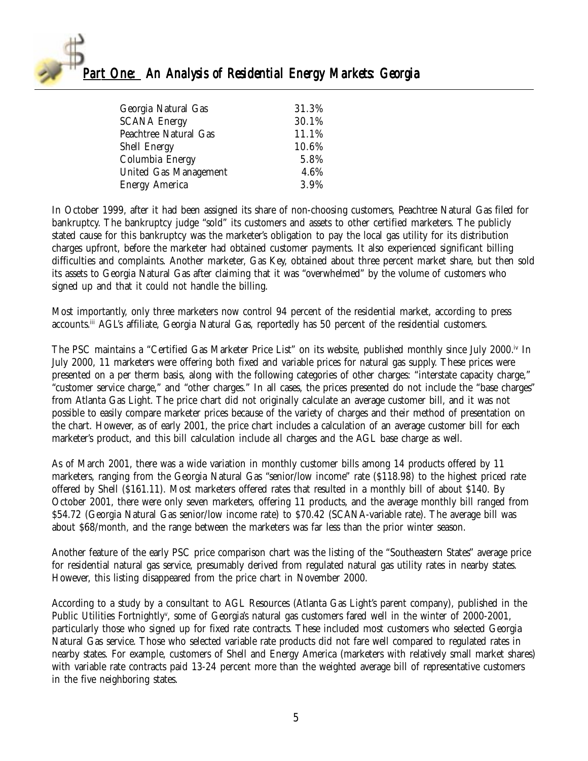

| Georgia Natural Gas   | 31.3% |
|-----------------------|-------|
| <b>SCANA Energy</b>   | 30.1% |
| Peachtree Natural Gas | 11.1% |
| <b>Shell Energy</b>   | 10.6% |
| Columbia Energy       | 5.8%  |
| United Gas Management | 4.6%  |
| <b>Energy America</b> | 3.9%  |

In October 1999, after it had been assigned its share of non-choosing customers, Peachtree Natural Gas filed for bankruptcy. The bankruptcy judge "sold" its customers and assets to other certified marketers. The publicly stated cause for this bankruptcy was the marketer's obligation to pay the local gas utility for its distribution charges upfront, before the marketer had obtained customer payments. It also experienced significant billing difficulties and complaints. Another marketer, Gas Key, obtained about three percent market share, but then sold its assets to Georgia Natural Gas after claiming that it was "overwhelmed" by the volume of customers who signed up and that it could not handle the billing.

Most importantly, only three marketers now control 94 percent of the residential market, according to press accounts.iii AGL's affiliate, Georgia Natural Gas, reportedly has 50 percent of the residential customers.

The PSC maintains a "Certified Gas Marketer Price List" on its website, published monthly since July 2000.<sup>iv</sup> In July 2000, 11 marketers were offering both fixed and variable prices for natural gas supply. These prices were presented on a per therm basis, along with the following categories of other charges: "interstate capacity charge," "customer service charge," and "other charges." In all cases, the prices presented do not include the "base charges" from Atlanta Gas Light. The price chart did not originally calculate an average customer bill, and it was not possible to easily compare marketer prices because of the variety of charges and their method of presentation on the chart. However, as of early 2001, the price chart includes a calculation of an average customer bill for each marketer's product, and this bill calculation include all charges and the AGL base charge as well.

As of March 2001, there was a wide variation in monthly customer bills among 14 products offered by 11 marketers, ranging from the Georgia Natural Gas "senior/low income" rate (\$118.98) to the highest priced rate offered by Shell (\$161.11). Most marketers offered rates that resulted in a monthly bill of about \$140. By October 2001, there were only seven marketers, offering 11 products, and the average monthly bill ranged from \$54.72 (Georgia Natural Gas senior/low income rate) to \$70.42 (SCANA-variable rate). The average bill was about \$68/month, and the range between the marketers was far less than the prior winter season.

Another feature of the early PSC price comparison chart was the listing of the "Southeastern States" average price for residential natural gas service, presumably derived from regulated natural gas utility rates in nearby states. However, this listing disappeared from the price chart in November 2000.

According to a study by a consultant to AGL Resources (Atlanta Gas Light's parent company), published in the Public Utilities Fortnightly<sup>v</sup>, some of Georgia's natural gas customers fared well in the winter of 2000-2001, particularly those who signed up for fixed rate contracts. These included most customers who selected Georgia Natural Gas service. Those who selected variable rate products did not fare well compared to regulated rates in nearby states. For example, customers of Shell and Energy America (marketers with relatively small market shares) with variable rate contracts paid 13-24 percent more than the weighted average bill of representative customers in the five neighboring states.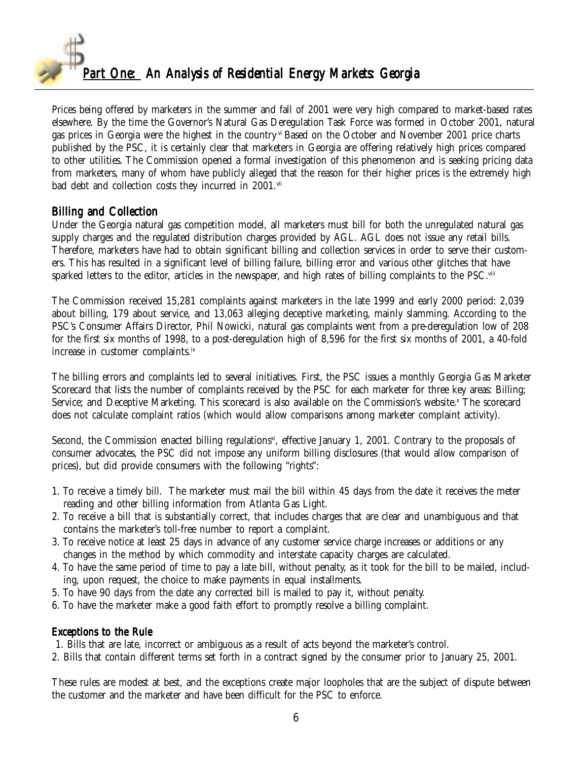

Prices being offered by marketers in the summer and fall of 2001 were very high compared to market-based rates elsewhere. By the time the Governor's Natural Gas Deregulation Task Force was formed in October 2001, natural gas prices in Georgia were the highest in the country.vi Based on the October and November 2001 price charts published by the PSC, it is certainly clear that marketers in Georgia are offering relatively high prices compared to other utilities. The Commission opened a formal investigation of this phenomenon and is seeking pricing data from marketers, many of whom have publicly alleged that the reason for their higher prices is the extremely high bad debt and collection costs they incurred in 2001.vii

#### Billing and Collection

Under the Georgia natural gas competition model, all marketers must bill for both the unregulated natural gas supply charges and the regulated distribution charges provided by AGL. AGL does not issue any retail bills. Therefore, marketers have had to obtain significant billing and collection services in order to serve their customers. This has resulted in a significant level of billing failure, billing error and various other glitches that have sparked letters to the editor, articles in the newspaper, and high rates of billing complaints to the PSC.viii

The Commission received 15,281 complaints against marketers in the late 1999 and early 2000 period: 2,039 about billing, 179 about service, and 13,063 alleging deceptive marketing, mainly slamming. According to the PSC's Consumer Affairs Director, Phil Nowicki, natural gas complaints went from a pre-deregulation low of 208 for the first six months of 1998, to a post-deregulation high of 8,596 for the first six months of 2001, a 40-fold increase in customer complaints.<sup>ix</sup>

The billing errors and complaints led to several initiatives. First, the PSC issues a monthly Georgia Gas Marketer Scorecard that lists the number of complaints received by the PSC for each marketer for three key areas: Billing; Service; and Deceptive Marketing. This scorecard is also available on the Commission's website.¤ The scorecard does not calculate complaint ratios (which would allow comparisons among marketer complaint activity).

Second, the Commission enacted billing regulations $x_i$ , effective January 1, 2001. Contrary to the proposals of consumer advocates, the PSC did not impose any uniform billing disclosures (that would allow comparison of prices), but did provide consumers with the following "rights":

- 1. To receive a timely bill. The marketer must mail the bill within 45 days from the date it receives the meter reading and other billing information from Atlanta Gas Light.
- 2. To receive a bill that is substantially correct, that includes charges that are clear and unambiguous and that contains the marketer's toll-free number to report a complaint.
- 3. To receive notice at least 25 days in advance of any customer service charge increases or additions or any changes in the method by which commodity and interstate capacity charges are calculated.
- 4. To have the same period of time to pay a late bill, without penalty, as it took for the bill to be mailed, including, upon request, the choice to make payments in equal installments.
- 5. To have 90 days from the date any corrected bill is mailed to pay it, without penalty.
- 6. To have the marketer make a good faith effort to promptly resolve a billing complaint.

#### Exceptions to the Rule

1. Bills that are late, incorrect or ambiguous as a result of acts beyond the marketer's control.

2. Bills that contain different terms set forth in a contract signed by the consumer prior to January 25, 2001.

These rules are modest at best, and the exceptions create major loopholes that are the subject of dispute between the customer and the marketer and have been difficult for the PSC to enforce.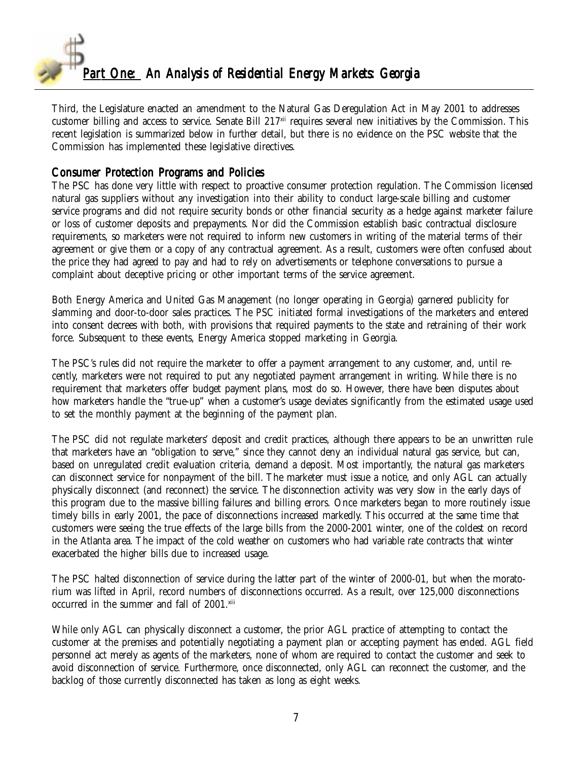

Third, the Legislature enacted an amendment to the Natural Gas Deregulation Act in May 2001 to addresses customer billing and access to service. Senate Bill 217<sup>xii</sup> requires several new initiatives by the Commission. This recent legislation is summarized below in further detail, but there is no evidence on the PSC website that the Commission has implemented these legislative directives.

#### Consumer Protection Programs and Policies

The PSC has done very little with respect to proactive consumer protection regulation. The Commission licensed natural gas suppliers without any investigation into their ability to conduct large-scale billing and customer service programs and did not require security bonds or other financial security as a hedge against marketer failure or loss of customer deposits and prepayments. Nor did the Commission establish basic contractual disclosure requirements, so marketers were not required to inform new customers in writing of the material terms of their agreement or give them or a copy of any contractual agreement. As a result, customers were often confused about the price they had agreed to pay and had to rely on advertisements or telephone conversations to pursue a complaint about deceptive pricing or other important terms of the service agreement.

Both Energy America and United Gas Management (no longer operating in Georgia) garnered publicity for slamming and door-to-door sales practices. The PSC initiated formal investigations of the marketers and entered into consent decrees with both, with provisions that required payments to the state and retraining of their work force. Subsequent to these events, Energy America stopped marketing in Georgia.

The PSC's rules did not require the marketer to offer a payment arrangement to any customer, and, until recently, marketers were not required to put any negotiated payment arrangement in writing. While there is no requirement that marketers offer budget payment plans, most do so. However, there have been disputes about how marketers handle the "true-up" when a customer's usage deviates significantly from the estimated usage used to set the monthly payment at the beginning of the payment plan.

The PSC did not regulate marketers' deposit and credit practices, although there appears to be an unwritten rule that marketers have an "obligation to serve," since they cannot deny an individual natural gas service, but can, based on unregulated credit evaluation criteria, demand a deposit. Most importantly, the natural gas marketers can disconnect service for nonpayment of the bill. The marketer must issue a notice, and only AGL can actually physically disconnect (and reconnect) the service. The disconnection activity was very slow in the early days of this program due to the massive billing failures and billing errors. Once marketers began to more routinely issue timely bills in early 2001, the pace of disconnections increased markedly. This occurred at the same time that customers were seeing the true effects of the large bills from the 2000-2001 winter, one of the coldest on record in the Atlanta area. The impact of the cold weather on customers who had variable rate contracts that winter exacerbated the higher bills due to increased usage.

The PSC halted disconnection of service during the latter part of the winter of 2000-01, but when the moratorium was lifted in April, record numbers of disconnections occurred. As a result, over 125,000 disconnections occurred in the summer and fall of 2001.xiii

While only AGL can physically disconnect a customer, the prior AGL practice of attempting to contact the customer at the premises and potentially negotiating a payment plan or accepting payment has ended. AGL field personnel act merely as agents of the marketers, none of whom are required to contact the customer and seek to avoid disconnection of service. Furthermore, once disconnected, only AGL can reconnect the customer, and the backlog of those currently disconnected has taken as long as eight weeks.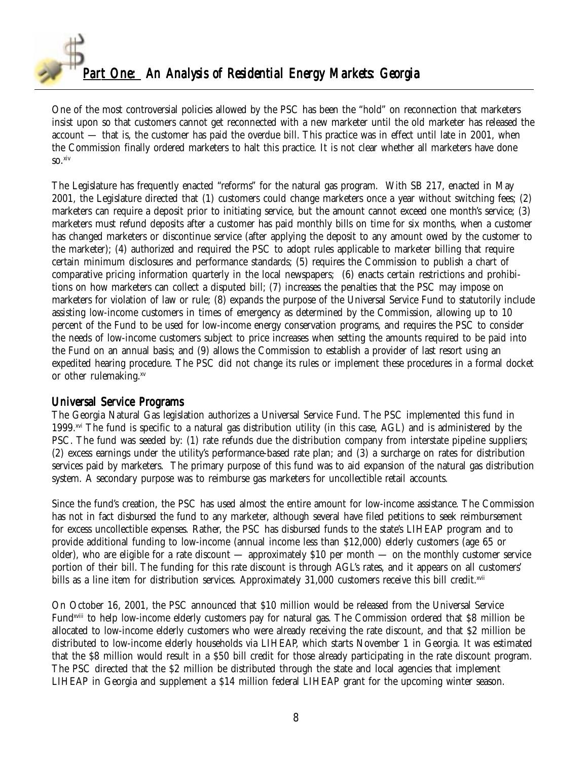

One of the most controversial policies allowed by the PSC has been the "hold" on reconnection that marketers insist upon so that customers cannot get reconnected with a new marketer until the old marketer has released the account — that is, the customer has paid the overdue bill. This practice was in effect until late in 2001, when the Commission finally ordered marketers to halt this practice. It is not clear whether all marketers have done so.xiv

The Legislature has frequently enacted "reforms" for the natural gas program. With SB 217, enacted in May 2001, the Legislature directed that (1) customers could change marketers once a year without switching fees; (2) marketers can require a deposit prior to initiating service, but the amount cannot exceed one month's service; (3) marketers must refund deposits after a customer has paid monthly bills on time for six months, when a customer has changed marketers or discontinue service (after applying the deposit to any amount owed by the customer to the marketer); (4) authorized and required the PSC to adopt rules applicable to marketer billing that require certain minimum disclosures and performance standards; (5) requires the Commission to publish a chart of comparative pricing information quarterly in the local newspapers; (6) enacts certain restrictions and prohibitions on how marketers can collect a disputed bill; (7) increases the penalties that the PSC may impose on marketers for violation of law or rule; (8) expands the purpose of the Universal Service Fund to statutorily include assisting low-income customers in times of emergency as determined by the Commission, allowing up to 10 percent of the Fund to be used for low-income energy conservation programs, and requires the PSC to consider the needs of low-income customers subject to price increases when setting the amounts required to be paid into the Fund on an annual basis; and (9) allows the Commission to establish a provider of last resort using an expedited hearing procedure. The PSC did not change its rules or implement these procedures in a formal docket or other rulemaking.xv

### Universal Service Programs

The Georgia Natural Gas legislation authorizes a Universal Service Fund. The PSC implemented this fund in 1999.<sup>xvi</sup> The fund is specific to a natural gas distribution utility (in this case, AGL) and is administered by the PSC. The fund was seeded by: (1) rate refunds due the distribution company from interstate pipeline suppliers; (2) excess earnings under the utility's performance-based rate plan; and (3) a surcharge on rates for distribution services paid by marketers. The primary purpose of this fund was to aid expansion of the natural gas distribution system. A secondary purpose was to reimburse gas marketers for uncollectible retail accounts.

Since the fund's creation, the PSC has used almost the entire amount for low-income assistance. The Commission has not in fact disbursed the fund to any marketer, although several have filed petitions to seek reimbursement for excess uncollectible expenses. Rather, the PSC has disbursed funds to the state's LIHEAP program and to provide additional funding to low-income (annual income less than \$12,000) elderly customers (age 65 or older), who are eligible for a rate discount — approximately \$10 per month — on the monthly customer service portion of their bill. The funding for this rate discount is through AGL's rates, and it appears on all customers' bills as a line item for distribution services. Approximately 31,000 customers receive this bill credit.xvii

On October 16, 2001, the PSC announced that \$10 million would be released from the Universal Service Fund<sup>xviii</sup> to help low-income elderly customers pay for natural gas. The Commission ordered that \$8 million be allocated to low-income elderly customers who were already receiving the rate discount, and that \$2 million be distributed to low-income elderly households via LIHEAP, which starts November 1 in Georgia. It was estimated that the \$8 million would result in a \$50 bill credit for those already participating in the rate discount program. The PSC directed that the \$2 million be distributed through the state and local agencies that implement LIHEAP in Georgia and supplement a \$14 million federal LIHEAP grant for the upcoming winter season.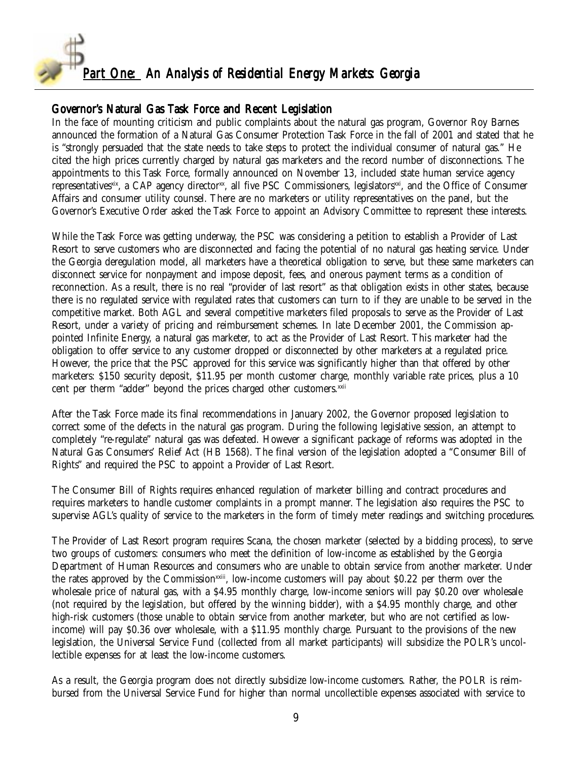

### Governor's Natural Gas Task Force and Recent Legislation

In the face of mounting criticism and public complaints about the natural gas program, Governor Roy Barnes announced the formation of a Natural Gas Consumer Protection Task Force in the fall of 2001 and stated that he is "strongly persuaded that the state needs to take steps to protect the individual consumer of natural gas." He cited the high prices currently charged by natural gas marketers and the record number of disconnections. The appointments to this Task Force, formally announced on November 13, included state human service agency representatives<sup>xix</sup>, a CAP agency director<sup>xx</sup>, all five PSC Commissioners, legislators<sup>xxi</sup>, and the Office of Consumer Affairs and consumer utility counsel. There are no marketers or utility representatives on the panel, but the Governor's Executive Order asked the Task Force to appoint an Advisory Committee to represent these interests.

While the Task Force was getting underway, the PSC was considering a petition to establish a Provider of Last Resort to serve customers who are disconnected and facing the potential of no natural gas heating service. Under the Georgia deregulation model, all marketers have a theoretical obligation to serve, but these same marketers can disconnect service for nonpayment and impose deposit, fees, and onerous payment terms as a condition of reconnection. As a result, there is no real "provider of last resort" as that obligation exists in other states, because there is no regulated service with regulated rates that customers can turn to if they are unable to be served in the competitive market. Both AGL and several competitive marketers filed proposals to serve as the Provider of Last Resort, under a variety of pricing and reimbursement schemes. In late December 2001, the Commission appointed Infinite Energy, a natural gas marketer, to act as the Provider of Last Resort. This marketer had the obligation to offer service to any customer dropped or disconnected by other marketers at a regulated price. However, the price that the PSC approved for this service was significantly higher than that offered by other marketers: \$150 security deposit, \$11.95 per month customer charge, monthly variable rate prices, plus a 10 cent per therm "adder" beyond the prices charged other customers.<sup>xxii</sup>

After the Task Force made its final recommendations in January 2002, the Governor proposed legislation to correct some of the defects in the natural gas program. During the following legislative session, an attempt to completely "re-regulate" natural gas was defeated. However a significant package of reforms was adopted in the Natural Gas Consumers' Relief Act (HB 1568). The final version of the legislation adopted a "Consumer Bill of Rights" and required the PSC to appoint a Provider of Last Resort.

The Consumer Bill of Rights requires enhanced regulation of marketer billing and contract procedures and requires marketers to handle customer complaints in a prompt manner. The legislation also requires the PSC to supervise AGL's quality of service to the marketers in the form of timely meter readings and switching procedures.

The Provider of Last Resort program requires Scana, the chosen marketer (selected by a bidding process), to serve two groups of customers: consumers who meet the definition of low-income as established by the Georgia Department of Human Resources and consumers who are unable to obtain service from another marketer. Under the rates approved by the Commission<sup>xxiii</sup>, low-income customers will pay about \$0.22 per therm over the wholesale price of natural gas, with a \$4.95 monthly charge, low-income seniors will pay \$0.20 over wholesale (not required by the legislation, but offered by the winning bidder), with a \$4.95 monthly charge, and other high-risk customers (those unable to obtain service from another marketer, but who are not certified as lowincome) will pay \$0.36 over wholesale, with a \$11.95 monthly charge. Pursuant to the provisions of the new legislation, the Universal Service Fund (collected from all market participants) will subsidize the POLR's uncollectible expenses for at least the low-income customers.

As a result, the Georgia program does not directly subsidize low-income customers. Rather, the POLR is reimbursed from the Universal Service Fund for higher than normal uncollectible expenses associated with service to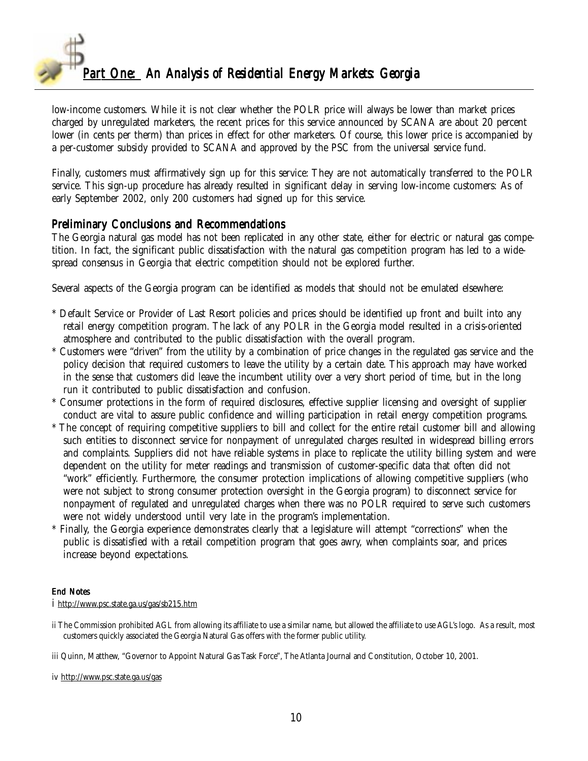

low-income customers. While it is not clear whether the POLR price will always be lower than market prices charged by unregulated marketers, the recent prices for this service announced by SCANA are about 20 percent lower (in cents per therm) than prices in effect for other marketers. Of course, this lower price is accompanied by a per-customer subsidy provided to SCANA and approved by the PSC from the universal service fund.

Finally, customers must affirmatively sign up for this service: They are not automatically transferred to the POLR service. This sign-up procedure has already resulted in significant delay in serving low-income customers: As of early September 2002, only 200 customers had signed up for this service.

#### Preliminary Conclusions and Recommendations

The Georgia natural gas model has not been replicated in any other state, either for electric or natural gas competition. In fact, the significant public dissatisfaction with the natural gas competition program has led to a widespread consensus in Georgia that electric competition should not be explored further.

Several aspects of the Georgia program can be identified as models that should not be emulated elsewhere:

- \* Default Service or Provider of Last Resort policies and prices should be identified up front and built into any retail energy competition program. The lack of any POLR in the Georgia model resulted in a crisis-oriented atmosphere and contributed to the public dissatisfaction with the overall program.
- \* Customers were "driven" from the utility by a combination of price changes in the regulated gas service and the policy decision that required customers to leave the utility by a certain date. This approach may have worked in the sense that customers did leave the incumbent utility over a very short period of time, but in the long run it contributed to public dissatisfaction and confusion.
- \* Consumer protections in the form of required disclosures, effective supplier licensing and oversight of supplier conduct are vital to assure public confidence and willing participation in retail energy competition programs.
- \* The concept of requiring competitive suppliers to bill and collect for the entire retail customer bill and allowing such entities to disconnect service for nonpayment of unregulated charges resulted in widespread billing errors and complaints. Suppliers did not have reliable systems in place to replicate the utility billing system and were dependent on the utility for meter readings and transmission of customer-specific data that often did not "work" efficiently. Furthermore, the consumer protection implications of allowing competitive suppliers (who were not subject to strong consumer protection oversight in the Georgia program) to disconnect service for nonpayment of regulated and unregulated charges when there was no POLR required to serve such customers were not widely understood until very late in the program's implementation.
- Finally, the Georgia experience demonstrates clearly that a legislature will attempt "corrections" when the public is dissatisfied with a retail competition program that goes awry, when complaints soar, and prices increase beyond expectations.

#### End Notes

i http://www.psc.state.ga.us/gas/sb215.htm

ii The Commission prohibited AGL from allowing its affiliate to use a similar name, but allowed the affiliate to use AGL's logo. As a result, most customers quickly associated the Georgia Natural Gas offers with the former public utility.

iii Quinn, Matthew, "Governor to Appoint Natural Gas Task Force", The Atlanta Journal and Constitution, October 10, 2001.

iv http://www.psc.state.ga.us/gas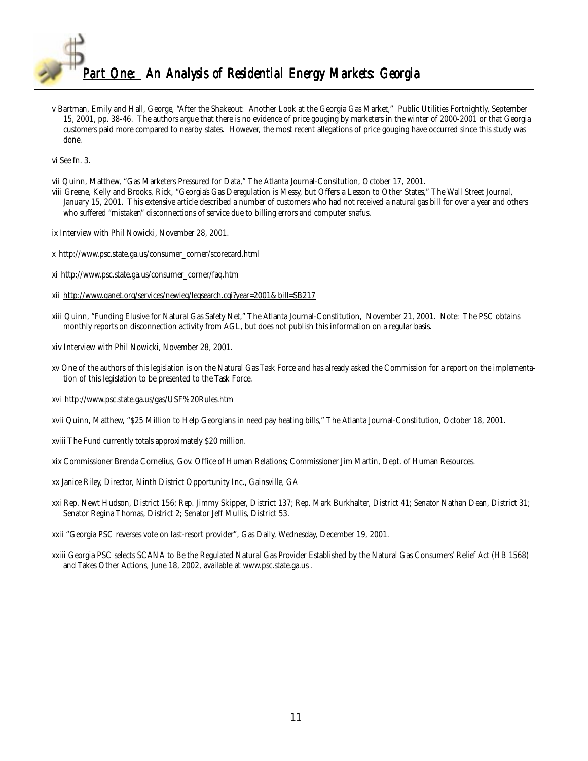

v Bartman, Emily and Hall, George, "After the Shakeout: Another Look at the Georgia Gas Market," Public Utilities Fortnightly, September 15, 2001, pp. 38-46. The authors argue that there is no evidence of price gouging by marketers in the winter of 2000-2001 or that Georgia customers paid more compared to nearby states. However, the most recent allegations of price gouging have occurred since this study was done.

vi See fn. 3.

vii Quinn, Matthew, "Gas Marketers Pressured for Data," The Atlanta Journal-Consitution, October 17, 2001.

- viii Greene, Kelly and Brooks, Rick, "Georgia's Gas Deregulation is Messy, but Offers a Lesson to Other States," The Wall Street Journal, January 15, 2001. This extensive article described a number of customers who had not received a natural gas bill for over a year and others who suffered "mistaken" disconnections of service due to billing errors and computer snafus.
- ix Interview with Phil Nowicki, November 28, 2001.
- x http://www.psc.state.ga.us/consumer\_corner/scorecard.html
- xi http://www.psc.state.ga.us/consumer\_corner/faq.htm
- xii http://www.ganet.org/services/newleg/legsearch.cgi?year=2001&bill=SB217
- xiii Quinn, "Funding Elusive for Natural Gas Safety Net," The Atlanta Journal-Constitution, November 21, 2001. Note: The PSC obtains monthly reports on disconnection activity from AGL, but does not publish this information on a regular basis.
- xiv Interview with Phil Nowicki, November 28, 2001.
- xv One of the authors of this legislation is on the Natural Gas Task Force and has already asked the Commission for a report on the implementation of this legislation to be presented to the Task Force.
- xvi http://www.psc.state.ga.us/gas/USF%20Rules.htm
- xvii Quinn, Matthew, "\$25 Million to Help Georgians in need pay heating bills," The Atlanta Journal-Constitution, October 18, 2001.
- xviii The Fund currently totals approximately \$20 million.
- xix Commissioner Brenda Cornelius, Gov. Office of Human Relations; Commissioner Jim Martin, Dept. of Human Resources.
- xx Janice Riley, Director, Ninth District Opportunity Inc., Gainsville, GA
- xxi Rep. Newt Hudson, District 156; Rep. Jimmy Skipper, District 137; Rep. Mark Burkhalter, District 41; Senator Nathan Dean, District 31; Senator Regina Thomas, District 2; Senator Jeff Mullis, District 53.
- xxii "Georgia PSC reverses vote on last-resort provider", Gas Daily, Wednesday, December 19, 2001.
- xxiii Georgia PSC selects SCANA to Be the Regulated Natural Gas Provider Established by the Natural Gas Consumers' Relief Act (HB 1568) and Takes Other Actions, June 18, 2002, available at www.psc.state.ga.us .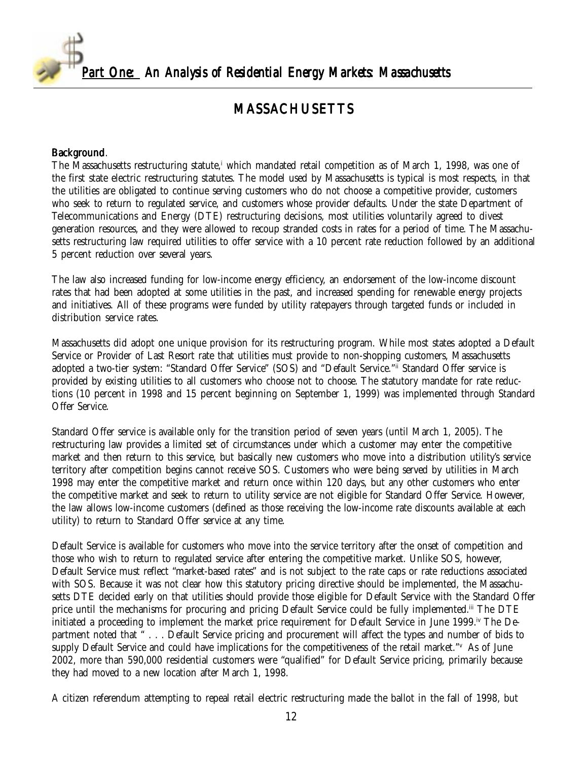<span id="page-11-0"></span>

## MASSACHUSETTS

#### Background.

The Massachusetts restructuring statute,<sup>i</sup> which mandated retail competition as of March 1, 1998, was one of the first state electric restructuring statutes. The model used by Massachusetts is typical is most respects, in that the utilities are obligated to continue serving customers who do not choose a competitive provider, customers who seek to return to regulated service, and customers whose provider defaults. Under the state Department of Telecommunications and Energy (DTE) restructuring decisions, most utilities voluntarily agreed to divest generation resources, and they were allowed to recoup stranded costs in rates for a period of time. The Massachusetts restructuring law required utilities to offer service with a 10 percent rate reduction followed by an additional 5 percent reduction over several years.

The law also increased funding for low-income energy efficiency, an endorsement of the low-income discount rates that had been adopted at some utilities in the past, and increased spending for renewable energy projects and initiatives. All of these programs were funded by utility ratepayers through targeted funds or included in distribution service rates.

Massachusetts did adopt one unique provision for its restructuring program. While most states adopted a Default Service or Provider of Last Resort rate that utilities must provide to non-shopping customers, Massachusetts adopted a two-tier system: "Standard Offer Service" (SOS) and "Default Service."ii Standard Offer service is provided by existing utilities to all customers who choose not to choose. The statutory mandate for rate reductions (10 percent in 1998 and 15 percent beginning on September 1, 1999) was implemented through Standard Offer Service.

Standard Offer service is available only for the transition period of seven years (until March 1, 2005). The restructuring law provides a limited set of circumstances under which a customer may enter the competitive market and then return to this service, but basically new customers who move into a distribution utility's service territory after competition begins cannot receive SOS. Customers who were being served by utilities in March 1998 may enter the competitive market and return once within 120 days, but any other customers who enter the competitive market and seek to return to utility service are not eligible for Standard Offer Service. However, the law allows low-income customers (defined as those receiving the low-income rate discounts available at each utility) to return to Standard Offer service at any time.

Default Service is available for customers who move into the service territory after the onset of competition and those who wish to return to regulated service after entering the competitive market. Unlike SOS, however, Default Service must reflect "market-based rates" and is not subject to the rate caps or rate reductions associated with SOS. Because it was not clear how this statutory pricing directive should be implemented, the Massachusetts DTE decided early on that utilities should provide those eligible for Default Service with the Standard Offer price until the mechanisms for procuring and pricing Default Service could be fully implemented.<sup>iii</sup> The DTE initiated a proceeding to implement the market price requirement for Default Service in June 1999.<sup>iv</sup> The Department noted that " . . . Default Service pricing and procurement will affect the types and number of bids to supply Default Service and could have implications for the competitiveness of the retail market." As of June 2002, more than 590,000 residential customers were "qualified" for Default Service pricing, primarily because they had moved to a new location after March 1, 1998.

A citizen referendum attempting to repeal retail electric restructuring made the ballot in the fall of 1998, but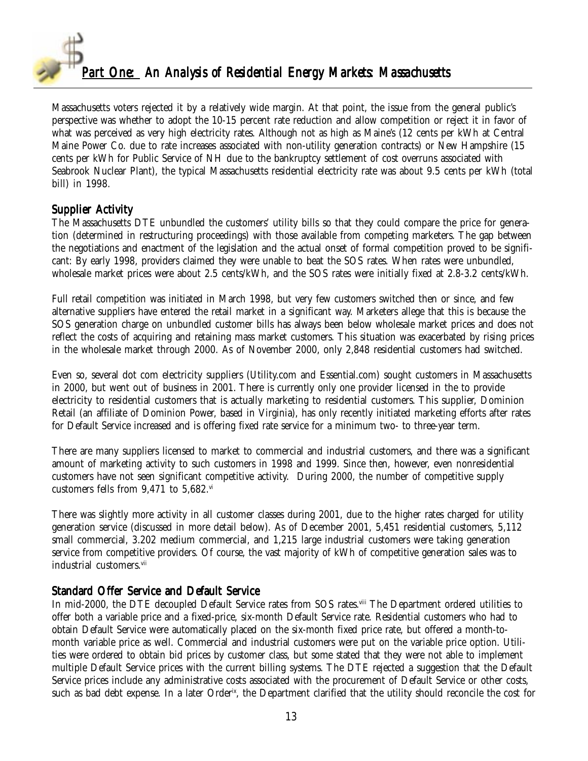

Massachusetts voters rejected it by a relatively wide margin. At that point, the issue from the general public's perspective was whether to adopt the 10-15 percent rate reduction and allow competition or reject it in favor of what was perceived as very high electricity rates. Although not as high as Maine's (12 cents per kWh at Central Maine Power Co. due to rate increases associated with non-utility generation contracts) or New Hampshire (15 cents per kWh for Public Service of NH due to the bankruptcy settlement of cost overruns associated with Seabrook Nuclear Plant), the typical Massachusetts residential electricity rate was about 9.5 cents per kWh (total bill) in 1998.

### Supplier Activity

The Massachusetts DTE unbundled the customers' utility bills so that they could compare the price for generation (determined in restructuring proceedings) with those available from competing marketers. The gap between the negotiations and enactment of the legislation and the actual onset of formal competition proved to be significant: By early 1998, providers claimed they were unable to beat the SOS rates. When rates were unbundled, wholesale market prices were about 2.5 cents/kWh, and the SOS rates were initially fixed at 2.8-3.2 cents/kWh.

Full retail competition was initiated in March 1998, but very few customers switched then or since, and few alternative suppliers have entered the retail market in a significant way. Marketers allege that this is because the SOS generation charge on unbundled customer bills has always been below wholesale market prices and does not reflect the costs of acquiring and retaining mass market customers. This situation was exacerbated by rising prices in the wholesale market through 2000. As of November 2000, only 2,848 residential customers had switched.

Even so, several dot com electricity suppliers (Utility.com and Essential.com) sought customers in Massachusetts in 2000, but went out of business in 2001. There is currently only one provider licensed in the to provide electricity to residential customers that is actually marketing to residential customers. This supplier, Dominion Retail (an affiliate of Dominion Power, based in Virginia), has only recently initiated marketing efforts after rates for Default Service increased and is offering fixed rate service for a minimum two- to three-year term.

There are many suppliers licensed to market to commercial and industrial customers, and there was a significant amount of marketing activity to such customers in 1998 and 1999. Since then, however, even nonresidential customers have not seen significant competitive activity. During 2000, the number of competitive supply customers fells from 9,471 to 5,682.vi

There was slightly more activity in all customer classes during 2001, due to the higher rates charged for utility generation service (discussed in more detail below). As of December 2001, 5,451 residential customers, 5,112 small commercial, 3.202 medium commercial, and 1,215 large industrial customers were taking generation service from competitive providers. Of course, the vast majority of kWh of competitive generation sales was to industrial customers.<sup>vii</sup>

### Standard Offer Service and Default Service

In mid-2000, the DTE decoupled Default Service rates from SOS rates.<sup>viii</sup> The Department ordered utilities to offer both a variable price and a fixed-price, six-month Default Service rate. Residential customers who had to obtain Default Service were automatically placed on the six-month fixed price rate, but offered a month-tomonth variable price as well. Commercial and industrial customers were put on the variable price option. Utilities were ordered to obtain bid prices by customer class, but some stated that they were not able to implement multiple Default Service prices with the current billing systems. The DTE rejected a suggestion that the Default Service prices include any administrative costs associated with the procurement of Default Service or other costs, such as bad debt expense. In a later Order<sup>ix</sup>, the Department clarified that the utility should reconcile the cost for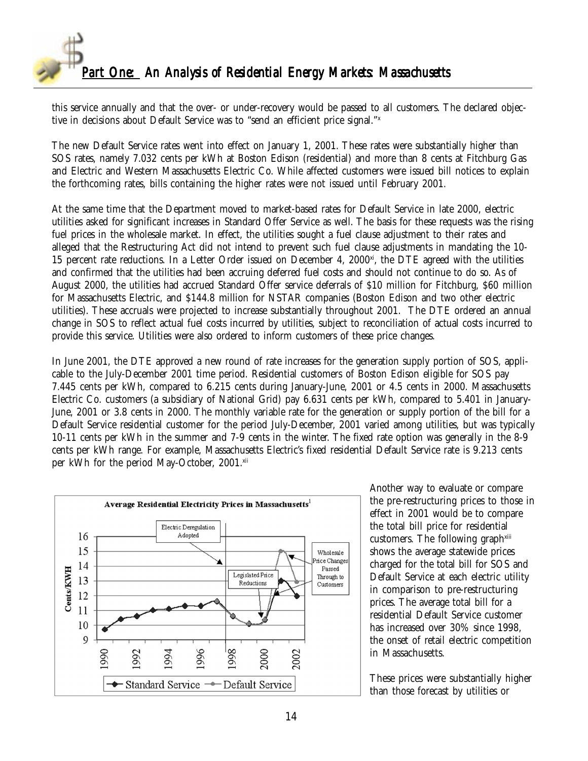

this service annually and that the over- or under-recovery would be passed to all customers. The declared objective in decisions about Default Service was to "send an efficient price signal."x

The new Default Service rates went into effect on January 1, 2001. These rates were substantially higher than SOS rates, namely 7.032 cents per kWh at Boston Edison (residential) and more than 8 cents at Fitchburg Gas and Electric and Western Massachusetts Electric Co. While affected customers were issued bill notices to explain the forthcoming rates, bills containing the higher rates were not issued until February 2001.

At the same time that the Department moved to market-based rates for Default Service in late 2000, electric utilities asked for significant increases in Standard Offer Service as well. The basis for these requests was the rising fuel prices in the wholesale market. In effect, the utilities sought a fuel clause adjustment to their rates and alleged that the Restructuring Act did not intend to prevent such fuel clause adjustments in mandating the 10- 15 percent rate reductions. In a Letter Order issued on December 4, 2000 $^{x}$ , the DTE agreed with the utilities and confirmed that the utilities had been accruing deferred fuel costs and should not continue to do so. As of August 2000, the utilities had accrued Standard Offer service deferrals of \$10 million for Fitchburg, \$60 million for Massachusetts Electric, and \$144.8 million for NSTAR companies (Boston Edison and two other electric utilities). These accruals were projected to increase substantially throughout 2001. The DTE ordered an annual change in SOS to reflect actual fuel costs incurred by utilities, subject to reconciliation of actual costs incurred to provide this service. Utilities were also ordered to inform customers of these price changes.

In June 2001, the DTE approved a new round of rate increases for the generation supply portion of SOS, applicable to the July-December 2001 time period. Residential customers of Boston Edison eligible for SOS pay 7.445 cents per kWh, compared to 6.215 cents during January-June, 2001 or 4.5 cents in 2000. Massachusetts Electric Co. customers (a subsidiary of National Grid) pay 6.631 cents per kWh, compared to 5.401 in January-June, 2001 or 3.8 cents in 2000. The monthly variable rate for the generation or supply portion of the bill for a Default Service residential customer for the period July-December, 2001 varied among utilities, but was typically 10-11 cents per kWh in the summer and 7-9 cents in the winter. The fixed rate option was generally in the 8-9 cents per kWh range. For example, Massachusetts Electric's fixed residential Default Service rate is 9.213 cents per kWh for the period May-October, 2001.xii



Another way to evaluate or compare the pre-restructuring prices to those in effect in 2001 would be to compare the total bill price for residential customers. The following graph<sup>xiii</sup> shows the average statewide prices charged for the total bill for SOS and Default Service at each electric utility in comparison to pre-restructuring prices. The average total bill for a residential Default Service customer has increased over 30% since 1998, the onset of retail electric competition in Massachusetts.

These prices were substantially higher than those forecast by utilities or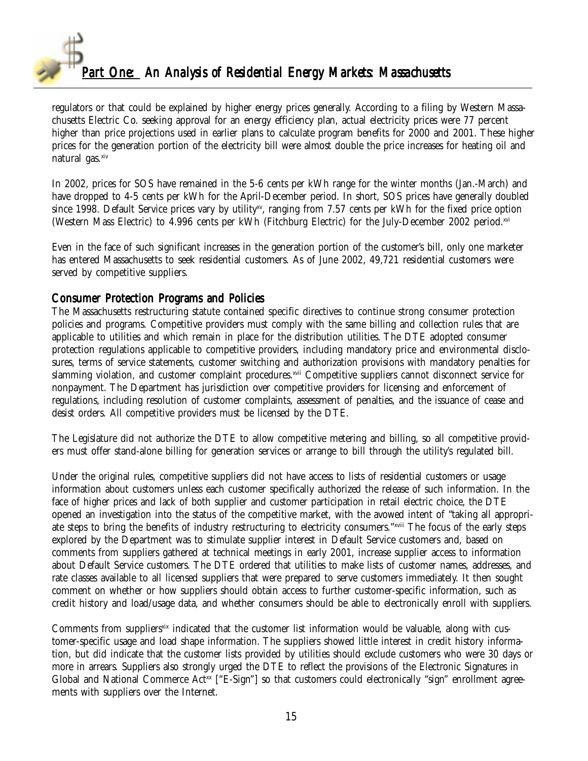

regulators or that could be explained by higher energy prices generally. According to a filing by Western Massachusetts Electric Co. seeking approval for an energy efficiency plan, actual electricity prices were 77 percent higher than price projections used in earlier plans to calculate program benefits for 2000 and 2001. These higher prices for the generation portion of the electricity bill were almost double the price increases for heating oil and natural gas.xiv

In 2002, prices for SOS have remained in the 5-6 cents per kWh range for the winter months (Jan.-March) and have dropped to 4-5 cents per kWh for the April-December period. In short, SOS prices have generally doubled since 1998. Default Service prices vary by utility<sup>xy</sup>, ranging from 7.57 cents per kWh for the fixed price option (Western Mass Electric) to 4.996 cents per kWh (Fitchburg Electric) for the July-December 2002 period.xvi

Even in the face of such significant increases in the generation portion of the customer's bill, only one marketer has entered Massachusetts to seek residential customers. As of June 2002, 49,721 residential customers were served by competitive suppliers.

#### Consumer Protection Programs and Policies

The Massachusetts restructuring statute contained specific directives to continue strong consumer protection policies and programs. Competitive providers must comply with the same billing and collection rules that are applicable to utilities and which remain in place for the distribution utilities. The DTE adopted consumer protection regulations applicable to competitive providers, including mandatory price and environmental disclosures, terms of service statements, customer switching and authorization provisions with mandatory penalties for slamming violation, and customer complaint procedures.xvii Competitive suppliers cannot disconnect service for nonpayment. The Department has jurisdiction over competitive providers for licensing and enforcement of regulations, including resolution of customer complaints, assessment of penalties, and the issuance of cease and desist orders. All competitive providers must be licensed by the DTE.

The Legislature did not authorize the DTE to allow competitive metering and billing, so all competitive providers must offer stand-alone billing for generation services or arrange to bill through the utility's regulated bill.

Under the original rules, competitive suppliers did not have access to lists of residential customers or usage information about customers unless each customer specifically authorized the release of such information. In the face of higher prices and lack of both supplier and customer participation in retail electric choice, the DTE opened an investigation into the status of the competitive market, with the avowed intent of "taking all appropriate steps to bring the benefits of industry restructuring to electricity consumers."xviii The focus of the early steps explored by the Department was to stimulate supplier interest in Default Service customers and, based on comments from suppliers gathered at technical meetings in early 2001, increase supplier access to information about Default Service customers. The DTE ordered that utilities to make lists of customer names, addresses, and rate classes available to all licensed suppliers that were prepared to serve customers immediately. It then sought comment on whether or how suppliers should obtain access to further customer-specific information, such as credit history and load/usage data, and whether consumers should be able to electronically enroll with suppliers.

Comments from suppliers<sup>xix</sup> indicated that the customer list information would be valuable, along with customer-specific usage and load shape information. The suppliers showed little interest in credit history information, but did indicate that the customer lists provided by utilities should exclude customers who were 30 days or more in arrears. Suppliers also strongly urged the DTE to reflect the provisions of the Electronic Signatures in Global and National Commerce Act<sup>xx</sup> ["E-Sign"] so that customers could electronically "sign" enrollment agreements with suppliers over the Internet.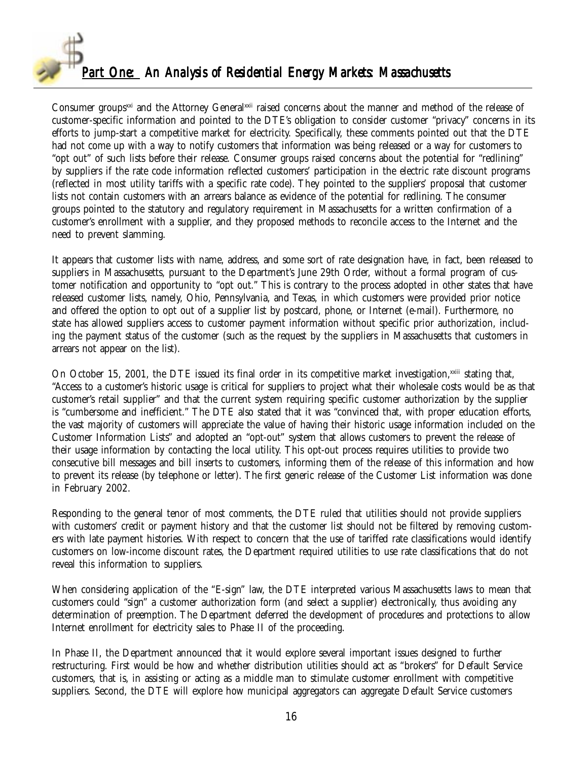

Consumer groups<sup>xxi</sup> and the Attorney Generalxxii raised concerns about the manner and method of the release of customer-specific information and pointed to the DTE's obligation to consider customer "privacy" concerns in its efforts to jump-start a competitive market for electricity. Specifically, these comments pointed out that the DTE had not come up with a way to notify customers that information was being released or a way for customers to "opt out" of such lists before their release. Consumer groups raised concerns about the potential for "redlining" by suppliers if the rate code information reflected customers' participation in the electric rate discount programs (reflected in most utility tariffs with a specific rate code). They pointed to the suppliers' proposal that customer lists not contain customers with an arrears balance as evidence of the potential for redlining. The consumer groups pointed to the statutory and regulatory requirement in Massachusetts for a written confirmation of a customer's enrollment with a supplier, and they proposed methods to reconcile access to the Internet and the need to prevent slamming.

It appears that customer lists with name, address, and some sort of rate designation have, in fact, been released to suppliers in Massachusetts, pursuant to the Department's June 29th Order, without a formal program of customer notification and opportunity to "opt out." This is contrary to the process adopted in other states that have released customer lists, namely, Ohio, Pennsylvania, and Texas, in which customers were provided prior notice and offered the option to opt out of a supplier list by postcard, phone, or Internet (e-mail). Furthermore, no state has allowed suppliers access to customer payment information without specific prior authorization, including the payment status of the customer (such as the request by the suppliers in Massachusetts that customers in arrears not appear on the list).

On October 15, 2001, the DTE issued its final order in its competitive market investigation,<sup>xxiii</sup> stating that, "Access to a customer's historic usage is critical for suppliers to project what their wholesale costs would be as that customer's retail supplier" and that the current system requiring specific customer authorization by the supplier is "cumbersome and inefficient." The DTE also stated that it was "convinced that, with proper education efforts, the vast majority of customers will appreciate the value of having their historic usage information included on the Customer Information Lists" and adopted an "opt-out" system that allows customers to prevent the release of their usage information by contacting the local utility. This opt-out process requires utilities to provide two consecutive bill messages and bill inserts to customers, informing them of the release of this information and how to prevent its release (by telephone or letter). The first generic release of the Customer List information was done in February 2002.

Responding to the general tenor of most comments, the DTE ruled that utilities should not provide suppliers with customers' credit or payment history and that the customer list should not be filtered by removing customers with late payment histories. With respect to concern that the use of tariffed rate classifications would identify customers on low-income discount rates, the Department required utilities to use rate classifications that do not reveal this information to suppliers.

When considering application of the "E-sign" law, the DTE interpreted various Massachusetts laws to mean that customers could "sign" a customer authorization form (and select a supplier) electronically, thus avoiding any determination of preemption. The Department deferred the development of procedures and protections to allow Internet enrollment for electricity sales to Phase II of the proceeding.

In Phase II, the Department announced that it would explore several important issues designed to further restructuring. First would be how and whether distribution utilities should act as "brokers" for Default Service customers, that is, in assisting or acting as a middle man to stimulate customer enrollment with competitive suppliers. Second, the DTE will explore how municipal aggregators can aggregate Default Service customers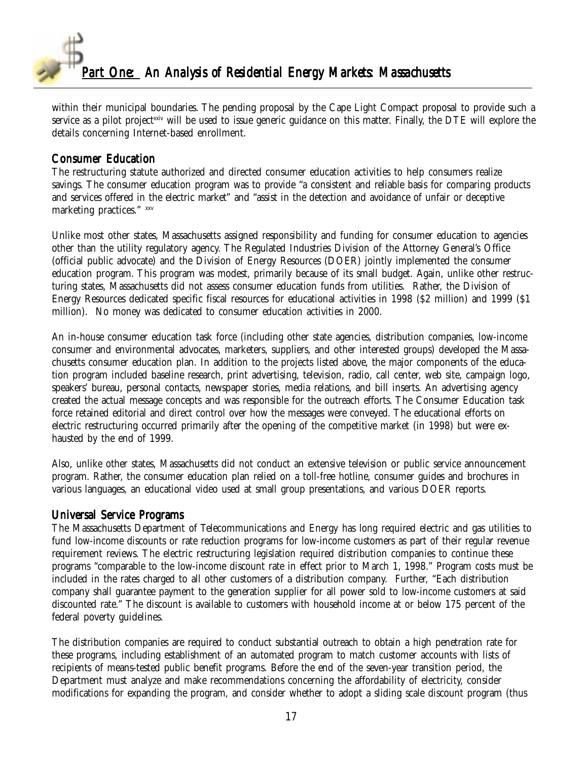

within their municipal boundaries. The pending proposal by the Cape Light Compact proposal to provide such a service as a pilot project<sup>xxiv</sup> will be used to issue generic guidance on this matter. Finally, the DTE will explore the details concerning Internet-based enrollment.

#### Consumer Education

The restructuring statute authorized and directed consumer education activities to help consumers realize savings. The consumer education program was to provide "a consistent and reliable basis for comparing products and services offered in the electric market" and "assist in the detection and avoidance of unfair or deceptive marketing practices." xxv

Unlike most other states, Massachusetts assigned responsibility and funding for consumer education to agencies other than the utility regulatory agency. The Regulated Industries Division of the Attorney General's Office (official public advocate) and the Division of Energy Resources (DOER) jointly implemented the consumer education program. This program was modest, primarily because of its small budget. Again, unlike other restructuring states, Massachusetts did not assess consumer education funds from utilities. Rather, the Division of Energy Resources dedicated specific fiscal resources for educational activities in 1998 (\$2 million) and 1999 (\$1 million). No money was dedicated to consumer education activities in 2000.

An in-house consumer education task force (including other state agencies, distribution companies, low-income consumer and environmental advocates, marketers, suppliers, and other interested groups) developed the Massachusetts consumer education plan. In addition to the projects listed above, the major components of the education program included baseline research, print advertising, television, radio, call center, web site, campaign logo, speakers' bureau, personal contacts, newspaper stories, media relations, and bill inserts. An advertising agency created the actual message concepts and was responsible for the outreach efforts. The Consumer Education task force retained editorial and direct control over how the messages were conveyed. The educational efforts on electric restructuring occurred primarily after the opening of the competitive market (in 1998) but were exhausted by the end of 1999.

Also, unlike other states, Massachusetts did not conduct an extensive television or public service announcement program. Rather, the consumer education plan relied on a toll-free hotline, consumer guides and brochures in various languages, an educational video used at small group presentations, and various DOER reports.

#### Universal Service Programs

The Massachusetts Department of Telecommunications and Energy has long required electric and gas utilities to fund low-income discounts or rate reduction programs for low-income customers as part of their regular revenue requirement reviews. The electric restructuring legislation required distribution companies to continue these programs "comparable to the low-income discount rate in effect prior to March 1, 1998." Program costs must be included in the rates charged to all other customers of a distribution company. Further, "Each distribution company shall guarantee payment to the generation supplier for all power sold to low-income customers at said discounted rate." The discount is available to customers with household income at or below 175 percent of the federal poverty guidelines.

The distribution companies are required to conduct substantial outreach to obtain a high penetration rate for these programs, including establishment of an automated program to match customer accounts with lists of recipients of means-tested public benefit programs. Before the end of the seven-year transition period, the Department must analyze and make recommendations concerning the affordability of electricity, consider modifications for expanding the program, and consider whether to adopt a sliding scale discount program (thus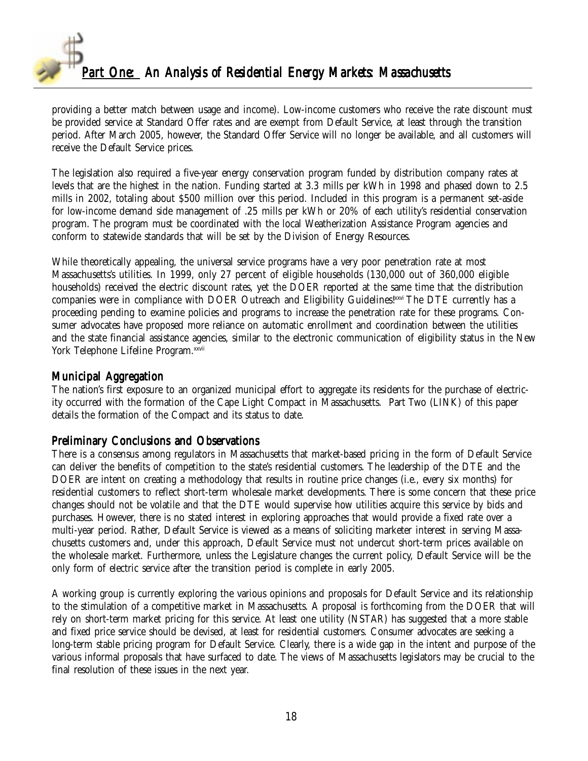

providing a better match between usage and income). Low-income customers who receive the rate discount must be provided service at Standard Offer rates and are exempt from Default Service, at least through the transition period. After March 2005, however, the Standard Offer Service will no longer be available, and all customers will receive the Default Service prices.

The legislation also required a five-year energy conservation program funded by distribution company rates at levels that are the highest in the nation. Funding started at 3.3 mills per kWh in 1998 and phased down to 2.5 mills in 2002, totaling about \$500 million over this period. Included in this program is a permanent set-aside for low-income demand side management of .25 mills per kWh or 20% of each utility's residential conservation program. The program must be coordinated with the local Weatherization Assistance Program agencies and conform to statewide standards that will be set by the Division of Energy Resources.

While theoretically appealing, the universal service programs have a very poor penetration rate at most Massachusetts's utilities. In 1999, only 27 percent of eligible households (130,000 out of 360,000 eligible households) received the electric discount rates, yet the DOER reported at the same time that the distribution companies were in compliance with DOER Outreach and Eligibility Guidelines!xxvi The DTE currently has a proceeding pending to examine policies and programs to increase the penetration rate for these programs. Consumer advocates have proposed more reliance on automatic enrollment and coordination between the utilities and the state financial assistance agencies, similar to the electronic communication of eligibility status in the New York Telephone Lifeline Program.xxvii

#### Municipal Aggregation

The nation's first exposure to an organized municipal effort to aggregate its residents for the purchase of electricity occurred with the formation of the Cape Light Compact in Massachusetts. Part Two (LINK) of this paper details the formation of the Compact and its status to date.

#### Preliminary Conclusions and Observations

There is a consensus among regulators in Massachusetts that market-based pricing in the form of Default Service can deliver the benefits of competition to the state's residential customers. The leadership of the DTE and the DOER are intent on creating a methodology that results in routine price changes (i.e., every six months) for residential customers to reflect short-term wholesale market developments. There is some concern that these price changes should not be volatile and that the DTE would supervise how utilities acquire this service by bids and purchases. However, there is no stated interest in exploring approaches that would provide a fixed rate over a multi-year period. Rather, Default Service is viewed as a means of soliciting marketer interest in serving Massachusetts customers and, under this approach, Default Service must not undercut short-term prices available on the wholesale market. Furthermore, unless the Legislature changes the current policy, Default Service will be the only form of electric service after the transition period is complete in early 2005.

A working group is currently exploring the various opinions and proposals for Default Service and its relationship to the stimulation of a competitive market in Massachusetts. A proposal is forthcoming from the DOER that will rely on short-term market pricing for this service. At least one utility (NSTAR) has suggested that a more stable and fixed price service should be devised, at least for residential customers. Consumer advocates are seeking a long-term stable pricing program for Default Service. Clearly, there is a wide gap in the intent and purpose of the various informal proposals that have surfaced to date. The views of Massachusetts legislators may be crucial to the final resolution of these issues in the next year.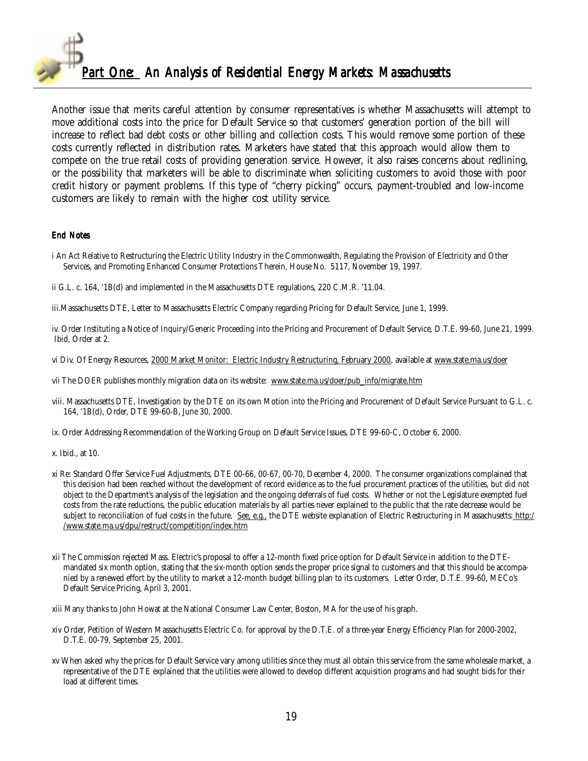

Another issue that merits careful attention by consumer representatives is whether Massachusetts will attempt to move additional costs into the price for Default Service so that customers' generation portion of the bill will increase to reflect bad debt costs or other billing and collection costs. This would remove some portion of these costs currently reflected in distribution rates. Marketers have stated that this approach would allow them to compete on the true retail costs of providing generation service. However, it also raises concerns about redlining, or the possibility that marketers will be able to discriminate when soliciting customers to avoid those with poor credit history or payment problems. If this type of "cherry picking" occurs, payment-troubled and low-income customers are likely to remain with the higher cost utility service.

#### End Notes

- i An Act Relative to Restructuring the Electric Utility Industry in the Commonwealth, Regulating the Provision of Electricity and Other Services, and Promoting Enhanced Consumer Protections Therein, House No. 5117, November 19, 1997.
- ii G.L. c. 164, '1B(d) and implemented in the Massachusetts DTE regulations, 220 C.M.R. '11.04.
- iii.Massachusetts DTE, Letter to Massachusetts Electric Company regarding Pricing for Default Service, June 1, 1999.
- iv. Order Instituting a Notice of Inquiry/Generic Proceeding into the Pricing and Procurement of Default Service, D.T.E. 99-60, June 21, 1999. Ibid, Order at 2.
- vi Div. Of Energy Resources, 2000 Market Monitor: Electric Industry Restructuring, February 2000, available at www.state.ma.us/doer
- vii The DOER publishes monthly migration data on its website: www.state.ma.us/doer/pub\_info/migrate.htm
- viii. Massachusetts DTE, Investigation by the DTE on its own Motion into the Pricing and Procurement of Default Service Pursuant to G.L. c. 164, '1B(d), Order, DTE 99-60-B, June 30, 2000.
- ix. Order Addressing Recommendation of the Working Group on Default Service Issues, DTE 99-60-C, October 6, 2000.
- x. Ibid., at 10.
- xi Re: Standard Offer Service Fuel Adjustments, DTE 00-66, 00-67, 00-70, December 4, 2000. The consumer organizations complained that this decision had been reached without the development of record evidence as to the fuel procurement practices of the utilities, but did not object to the Department's analysis of the legislation and the ongoing deferrals of fuel costs. Whether or not the Legislature exempted fuel costs from the rate reductions, the public education materials by all parties never explained to the public that the rate decrease would be subject to reconciliation of fuel costs in the future. See, e.g., the DTE website explanation of Electric Restructuring in Massachusetts: http:/ /www.state.ma.us/dpu/restruct/competition/index.htm
- xii The Commission rejected Mass. Electric's proposal to offer a 12-month fixed price option for Default Service in addition to the DTEmandated six month option, stating that the six-month option sends the proper price signal to customers and that this should be accompanied by a renewed effort by the utility to market a 12-month budget billing plan to its customers. Letter Order, D.T.E. 99-60, MECo's Default Service Pricing, April 3, 2001.

xiii Many thanks to John Howat at the National Consumer Law Center, Boston, MA for the use of his graph.

- xiv Order, Petition of Western Massachusetts Electric Co. for approval by the D.T.E. of a three-year Energy Efficiency Plan for 2000-2002, D.T.E. 00-79, September 25, 2001.
- xv When asked why the prices for Default Service vary among utilities since they must all obtain this service from the same wholesale market, a representative of the DTE explained that the utilities were allowed to develop different acquisition programs and had sought bids for their load at different times.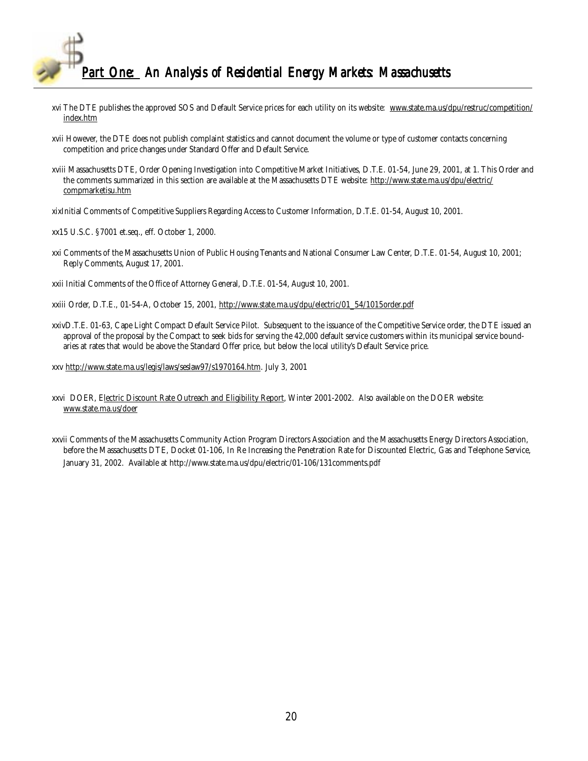

- xvi The DTE publishes the approved SOS and Default Service prices for each utility on its website: www.state.ma.us/dpu/restruc/competition/ index.htm
- xvii However, the DTE does not publish complaint statistics and cannot document the volume or type of customer contacts concerning competition and price changes under Standard Offer and Default Service.
- xviii Massachusetts DTE, Order Opening Investigation into Competitive Market Initiatives, D.T.E. 01-54, June 29, 2001, at 1. This Order and the comments summarized in this section are available at the Massachusetts DTE website: http://www.state.ma.us/dpu/electric/ compmarketisu.htm
- xixInitial Comments of Competitive Suppliers Regarding Access to Customer Information, D.T.E. 01-54, August 10, 2001.
- xx15 U.S.C. §7001 et.seq., eff. October 1, 2000.
- xxi Comments of the Massachusetts Union of Public Housing Tenants and National Consumer Law Center, D.T.E. 01-54, August 10, 2001; Reply Comments, August 17, 2001.
- xxii Initial Comments of the Office of Attorney General, D.T.E. 01-54, August 10, 2001.
- xxiii Order, D.T.E., 01-54-A, October 15, 2001, http://www.state.ma.us/dpu/electric/01\_54/1015order.pdf
- xxivD.T.E. 01-63, Cape Light Compact Default Service Pilot. Subsequent to the issuance of the Competitive Service order, the DTE issued an approval of the proposal by the Compact to seek bids for serving the 42,000 default service customers within its municipal service boundaries at rates that would be above the Standard Offer price, but below the local utility's Default Service price.
- xxv http://www.state.ma.us/legis/laws/seslaw97/s1970164.htm. July 3, 2001
- xxvi DOER, Electric Discount Rate Outreach and Eligibility Report, Winter 2001-2002. Also available on the DOER website: www.state.ma.us/doer
- xxvii Comments of the Massachusetts Community Action Program Directors Association and the Massachusetts Energy Directors Association, before the Massachusetts DTE, Docket 01-106, In Re Increasing the Penetration Rate for Discounted Electric, Gas and Telephone Service, January 31, 2002. Available at http://www.state.ma.us/dpu/electric/01-106/131comments.pdf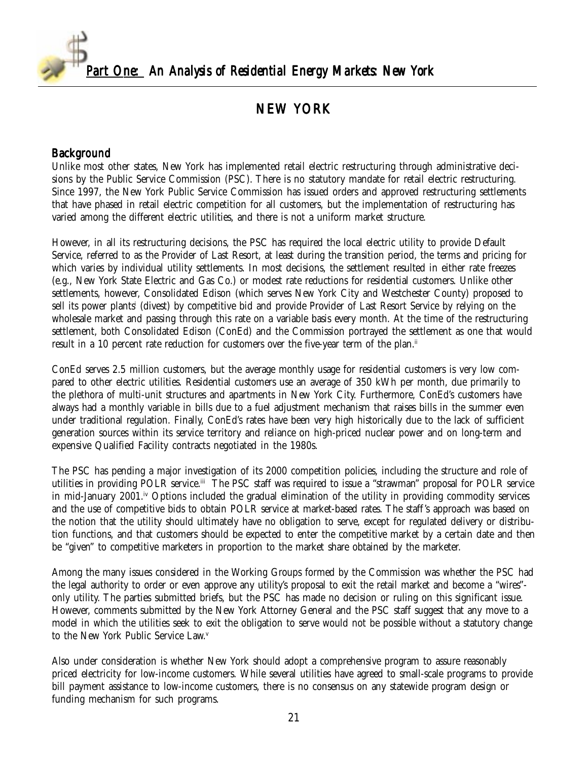<span id="page-20-0"></span>

## NEW YORK

#### Background

Unlike most other states, New York has implemented retail electric restructuring through administrative decisions by the Public Service Commission (PSC). There is no statutory mandate for retail electric restructuring. Since 1997, the New York Public Service Commission has issued orders and approved restructuring settlements that have phased in retail electric competition for all customers, but the implementation of restructuring has varied among the different electric utilities, and there is not a uniform market structure.

However, in all its restructuring decisions, the PSC has required the local electric utility to provide Default Service, referred to as the Provider of Last Resort, at least during the transition period, the terms and pricing for which varies by individual utility settlements. In most decisions, the settlement resulted in either rate freezes (e.g., New York State Electric and Gas Co.) or modest rate reductions for residential customers. Unlike other settlements, however, Consolidated Edison (which serves New York City and Westchester County) proposed to sell its power plants' (divest) by competitive bid and provide Provider of Last Resort Service by relying on the wholesale market and passing through this rate on a variable basis every month. At the time of the restructuring settlement, both Consolidated Edison (ConEd) and the Commission portrayed the settlement as one that would result in a 10 percent rate reduction for customers over the five-year term of the plan.<sup> $ii$ </sup>

ConEd serves 2.5 million customers, but the average monthly usage for residential customers is very low compared to other electric utilities. Residential customers use an average of 350 kWh per month, due primarily to the plethora of multi-unit structures and apartments in New York City. Furthermore, ConEd's customers have always had a monthly variable in bills due to a fuel adjustment mechanism that raises bills in the summer even under traditional regulation. Finally, ConEd's rates have been very high historically due to the lack of sufficient generation sources within its service territory and reliance on high-priced nuclear power and on long-term and expensive Qualified Facility contracts negotiated in the 1980s.

The PSC has pending a major investigation of its 2000 competition policies, including the structure and role of utilities in providing POLR service.iii The PSC staff was required to issue a "strawman" proposal for POLR service in mid-January 2001.<sup>iv</sup> Options included the gradual elimination of the utility in providing commodity services and the use of competitive bids to obtain POLR service at market-based rates. The staff's approach was based on the notion that the utility should ultimately have no obligation to serve, except for regulated delivery or distribution functions, and that customers should be expected to enter the competitive market by a certain date and then be "given" to competitive marketers in proportion to the market share obtained by the marketer.

Among the many issues considered in the Working Groups formed by the Commission was whether the PSC had the legal authority to order or even approve any utility's proposal to exit the retail market and become a "wires" only utility. The parties submitted briefs, but the PSC has made no decision or ruling on this significant issue. However, comments submitted by the New York Attorney General and the PSC staff suggest that any move to a model in which the utilities seek to exit the obligation to serve would not be possible without a statutory change to the New York Public Service Law.<sup>v</sup>

Also under consideration is whether New York should adopt a comprehensive program to assure reasonably priced electricity for low-income customers. While several utilities have agreed to small-scale programs to provide bill payment assistance to low-income customers, there is no consensus on any statewide program design or funding mechanism for such programs.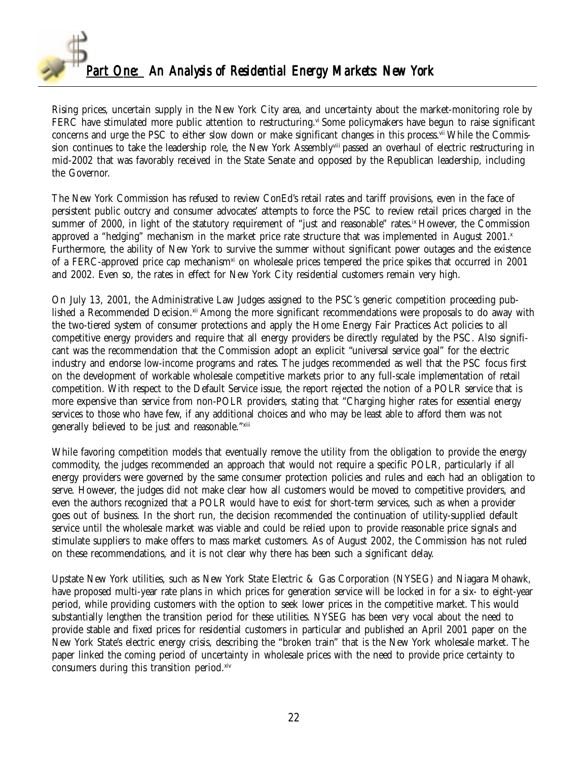

Rising prices, uncertain supply in the New York City area, and uncertainty about the market-monitoring role by FERC have stimulated more public attention to restructuring.<sup>vi</sup> Some policymakers have begun to raise significant concerns and urge the PSC to either slow down or make significant changes in this process.<sup>vii</sup> While the Commission continues to take the leadership role, the New York Assemblyviii passed an overhaul of electric restructuring in mid-2002 that was favorably received in the State Senate and opposed by the Republican leadership, including the Governor.

The New York Commission has refused to review ConEd's retail rates and tariff provisions, even in the face of persistent public outcry and consumer advocates' attempts to force the PSC to review retail prices charged in the summer of 2000, in light of the statutory requirement of "just and reasonable" rates.<sup>ix</sup> However, the Commission approved a "hedging" mechanism in the market price rate structure that was implemented in August  $2001$ . Furthermore, the ability of New York to survive the summer without significant power outages and the existence of a FERC-approved price cap mechanism<sup>xi</sup> on wholesale prices tempered the price spikes that occurred in 2001 and 2002. Even so, the rates in effect for New York City residential customers remain very high.

On July 13, 2001, the Administrative Law Judges assigned to the PSC's generic competition proceeding published a Recommended Decision.<sup>xii</sup> Among the more significant recommendations were proposals to do away with the two-tiered system of consumer protections and apply the Home Energy Fair Practices Act policies to all competitive energy providers and require that all energy providers be directly regulated by the PSC. Also significant was the recommendation that the Commission adopt an explicit "universal service goal" for the electric industry and endorse low-income programs and rates. The judges recommended as well that the PSC focus first on the development of workable wholesale competitive markets prior to any full-scale implementation of retail competition. With respect to the Default Service issue, the report rejected the notion of a POLR service that is more expensive than service from non-POLR providers, stating that "Charging higher rates for essential energy services to those who have few, if any additional choices and who may be least able to afford them was not generally believed to be just and reasonable." xiii

While favoring competition models that eventually remove the utility from the obligation to provide the energy commodity, the judges recommended an approach that would not require a specific POLR, particularly if all energy providers were governed by the same consumer protection policies and rules and each had an obligation to serve. However, the judges did not make clear how all customers would be moved to competitive providers, and even the authors recognized that a POLR would have to exist for short-term services, such as when a provider goes out of business. In the short run, the decision recommended the continuation of utility-supplied default service until the wholesale market was viable and could be relied upon to provide reasonable price signals and stimulate suppliers to make offers to mass market customers. As of August 2002, the Commission has not ruled on these recommendations, and it is not clear why there has been such a significant delay.

Upstate New York utilities, such as New York State Electric & Gas Corporation (NYSEG) and Niagara Mohawk, have proposed multi-year rate plans in which prices for generation service will be locked in for a six- to eight-year period, while providing customers with the option to seek lower prices in the competitive market. This would substantially lengthen the transition period for these utilities. NYSEG has been very vocal about the need to provide stable and fixed prices for residential customers in particular and published an April 2001 paper on the New York State's electric energy crisis, describing the "broken train" that is the New York wholesale market. The paper linked the coming period of uncertainty in wholesale prices with the need to provide price certainty to consumers during this transition period.xiv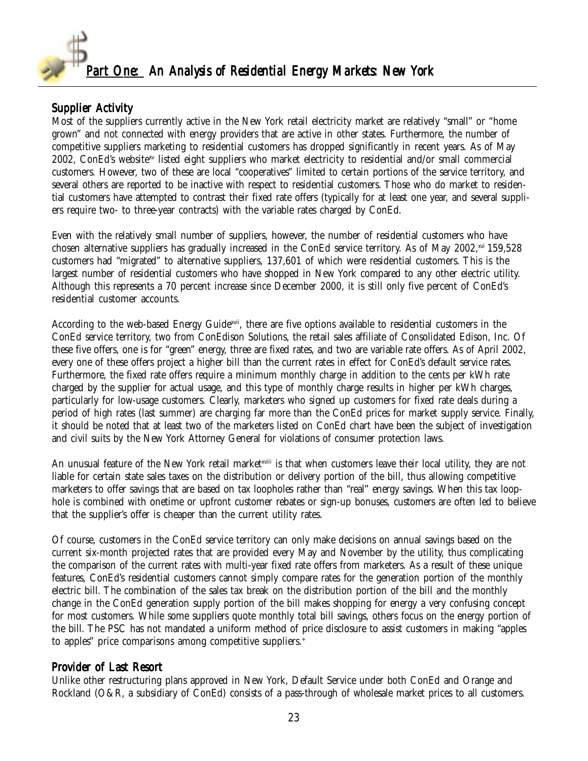

### Supplier Activity

Most of the suppliers currently active in the New York retail electricity market are relatively "small" or "home grown" and not connected with energy providers that are active in other states. Furthermore, the number of competitive suppliers marketing to residential customers has dropped significantly in recent years. As of May 2002, ConEd's websitexv listed eight suppliers who market electricity to residential and/or small commercial customers. However, two of these are local "cooperatives" limited to certain portions of the service territory, and several others are reported to be inactive with respect to residential customers. Those who do market to residential customers have attempted to contrast their fixed rate offers (typically for at least one year, and several suppliers require two- to three-year contracts) with the variable rates charged by ConEd.

Even with the relatively small number of suppliers, however, the number of residential customers who have chosen alternative suppliers has gradually increased in the ConEd service territory. As of May 2002,xvi 159,528 customers had "migrated" to alternative suppliers, 137,601 of which were residential customers. This is the largest number of residential customers who have shopped in New York compared to any other electric utility. Although this represents a 70 percent increase since December 2000, it is still only five percent of ConEd's residential customer accounts.

According to the web-based Energy Guide<sup>xvii</sup>, there are five options available to residential customers in the ConEd service territory, two from ConEdison Solutions, the retail sales affiliate of Consolidated Edison, Inc. Of these five offers, one is for "green" energy, three are fixed rates, and two are variable rate offers. As of April 2002, every one of these offers project a higher bill than the current rates in effect for ConEd's default service rates. Furthermore, the fixed rate offers require a minimum monthly charge in addition to the cents per kWh rate charged by the supplier for actual usage, and this type of monthly charge results in higher per kWh charges, particularly for low-usage customers. Clearly, marketers who signed up customers for fixed rate deals during a period of high rates (last summer) are charging far more than the ConEd prices for market supply service. Finally, it should be noted that at least two of the marketers listed on ConEd chart have been the subject of investigation and civil suits by the New York Attorney General for violations of consumer protection laws.

An unusual feature of the New York retail market<sup>xvii</sup> is that when customers leave their local utility, they are not liable for certain state sales taxes on the distribution or delivery portion of the bill, thus allowing competitive marketers to offer savings that are based on tax loopholes rather than "real" energy savings. When this tax loophole is combined with onetime or upfront customer rebates or sign-up bonuses, customers are often led to believe that the supplier's offer is cheaper than the current utility rates.

Of course, customers in the ConEd service territory can only make decisions on annual savings based on the current six-month projected rates that are provided every May and November by the utility, thus complicating the comparison of the current rates with multi-year fixed rate offers from marketers. As a result of these unique features, ConEd's residential customers cannot simply compare rates for the generation portion of the monthly electric bill. The combination of the sales tax break on the distribution portion of the bill and the monthly change in the ConEd generation supply portion of the bill makes shopping for energy a very confusing concept for most customers. While some suppliers quote monthly total bill savings, others focus on the energy portion of the bill. The PSC has not mandated a uniform method of price disclosure to assist customers in making "apples to apples" price comparisons among competitive suppliers.<sup>+</sup>

### Provider of Last Resort

Unlike other restructuring plans approved in New York, Default Service under both ConEd and Orange and Rockland (O&R, a subsidiary of ConEd) consists of a pass-through of wholesale market prices to all customers.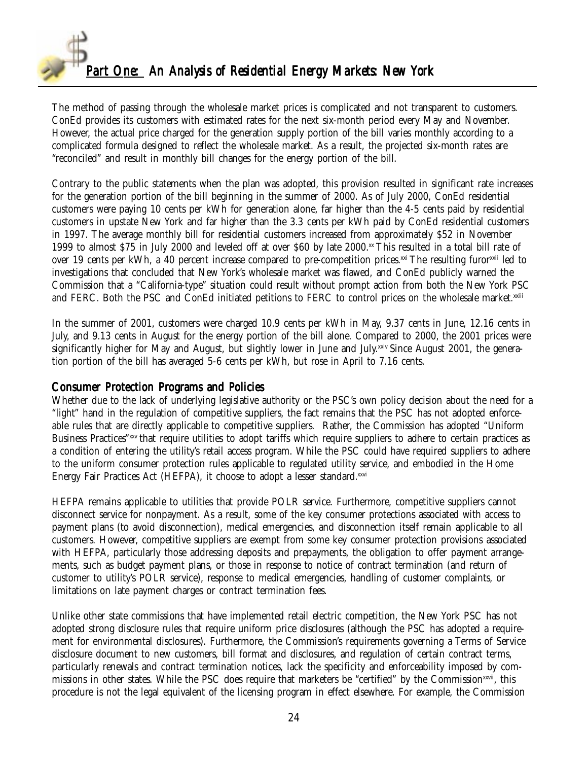

The method of passing through the wholesale market prices is complicated and not transparent to customers. ConEd provides its customers with estimated rates for the next six-month period every May and November. However, the actual price charged for the generation supply portion of the bill varies monthly according to a complicated formula designed to reflect the wholesale market. As a result, the projected six-month rates are "reconciled" and result in monthly bill changes for the energy portion of the bill.

Contrary to the public statements when the plan was adopted, this provision resulted in significant rate increases for the generation portion of the bill beginning in the summer of 2000. As of July 2000, ConEd residential customers were paying 10 cents per kWh for generation alone, far higher than the 4-5 cents paid by residential customers in upstate New York and far higher than the 3.3 cents per kWh paid by ConEd residential customers in 1997. The average monthly bill for residential customers increased from approximately \$52 in November 1999 to almost \$75 in July 2000 and leveled off at over \$60 by late  $2000$ .<sup>xx</sup> This resulted in a total bill rate of over 19 cents per kWh, a 40 percent increase compared to pre-competition prices.<sup>xxi</sup> The resulting furor<sup>xxii</sup> led to investigations that concluded that New York's wholesale market was flawed, and ConEd publicly warned the Commission that a "California-type" situation could result without prompt action from both the New York PSC and FERC. Both the PSC and ConEd initiated petitions to FERC to control prices on the wholesale market.xxiii

In the summer of 2001, customers were charged 10.9 cents per kWh in May, 9.37 cents in June, 12.16 cents in July, and 9.13 cents in August for the energy portion of the bill alone. Compared to 2000, the 2001 prices were significantly higher for May and August, but slightly lower in June and July.xxiv Since August 2001, the generation portion of the bill has averaged 5-6 cents per kWh, but rose in April to 7.16 cents.

#### Consumer Protection Programs and Policies

Whether due to the lack of underlying legislative authority or the PSC's own policy decision about the need for a "light" hand in the regulation of competitive suppliers, the fact remains that the PSC has not adopted enforceable rules that are directly applicable to competitive suppliers. Rather, the Commission has adopted "Uniform Business Practices"xxv that require utilities to adopt tariffs which require suppliers to adhere to certain practices as a condition of entering the utility's retail access program. While the PSC could have required suppliers to adhere to the uniform consumer protection rules applicable to regulated utility service, and embodied in the Home Energy Fair Practices Act (HEFPA), it choose to adopt a lesser standard.xxvi

HEFPA remains applicable to utilities that provide POLR service. Furthermore, competitive suppliers cannot disconnect service for nonpayment. As a result, some of the key consumer protections associated with access to payment plans (to avoid disconnection), medical emergencies, and disconnection itself remain applicable to all customers. However, competitive suppliers are exempt from some key consumer protection provisions associated with HEFPA, particularly those addressing deposits and prepayments, the obligation to offer payment arrangements, such as budget payment plans, or those in response to notice of contract termination (and return of customer to utility's POLR service), response to medical emergencies, handling of customer complaints, or limitations on late payment charges or contract termination fees.

Unlike other state commissions that have implemented retail electric competition, the New York PSC has not adopted strong disclosure rules that require uniform price disclosures (although the PSC has adopted a requirement for environmental disclosures). Furthermore, the Commission's requirements governing a Terms of Service disclosure document to new customers, bill format and disclosures, and regulation of certain contract terms, particularly renewals and contract termination notices, lack the specificity and enforceability imposed by commissions in other states. While the PSC does require that marketers be "certified" by the Commission<sup>xxvii</sup>, this procedure is not the legal equivalent of the licensing program in effect elsewhere. For example, the Commission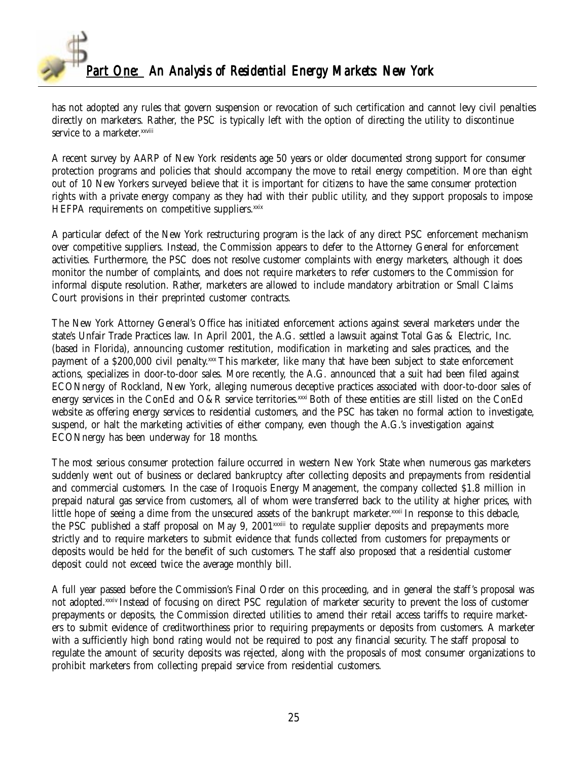

has not adopted any rules that govern suspension or revocation of such certification and cannot levy civil penalties directly on marketers. Rather, the PSC is typically left with the option of directing the utility to discontinue service to a marketer.<sup>xxviii</sup>

A recent survey by AARP of New York residents age 50 years or older documented strong support for consumer protection programs and policies that should accompany the move to retail energy competition. More than eight out of 10 New Yorkers surveyed believe that it is important for citizens to have the same consumer protection rights with a private energy company as they had with their public utility, and they support proposals to impose HEFPA requirements on competitive suppliers.xxix

A particular defect of the New York restructuring program is the lack of any direct PSC enforcement mechanism over competitive suppliers. Instead, the Commission appears to defer to the Attorney General for enforcement activities. Furthermore, the PSC does not resolve customer complaints with energy marketers, although it does monitor the number of complaints, and does not require marketers to refer customers to the Commission for informal dispute resolution. Rather, marketers are allowed to include mandatory arbitration or Small Claims Court provisions in their preprinted customer contracts.

The New York Attorney General's Office has initiated enforcement actions against several marketers under the state's Unfair Trade Practices law. In April 2001, the A.G. settled a lawsuit against Total Gas & Electric, Inc. (based in Florida), announcing customer restitution, modification in marketing and sales practices, and the payment of a \$200,000 civil penalty.<sup>xxx</sup> This marketer, like many that have been subject to state enforcement actions, specializes in door-to-door sales. More recently, the A.G. announced that a suit had been filed against ECONnergy of Rockland, New York, alleging numerous deceptive practices associated with door-to-door sales of energy services in the ConEd and O&R service territories. $\frac{x}{x}$  Both of these entities are still listed on the ConEd website as offering energy services to residential customers, and the PSC has taken no formal action to investigate, suspend, or halt the marketing activities of either company, even though the A.G.'s investigation against ECONnergy has been underway for 18 months.

The most serious consumer protection failure occurred in western New York State when numerous gas marketers suddenly went out of business or declared bankruptcy after collecting deposits and prepayments from residential and commercial customers. In the case of Iroquois Energy Management, the company collected \$1.8 million in prepaid natural gas service from customers, all of whom were transferred back to the utility at higher prices, with little hope of seeing a dime from the unsecured assets of the bankrupt marketer.xxxii In response to this debacle, the PSC published a staff proposal on May 9, 2001<sup>xxxiii</sup> to regulate supplier deposits and prepayments more strictly and to require marketers to submit evidence that funds collected from customers for prepayments or deposits would be held for the benefit of such customers. The staff also proposed that a residential customer deposit could not exceed twice the average monthly bill.

A full year passed before the Commission's Final Order on this proceeding, and in general the staff's proposal was not adopted.xxxiv Instead of focusing on direct PSC regulation of marketer security to prevent the loss of customer prepayments or deposits, the Commission directed utilities to amend their retail access tariffs to require marketers to submit evidence of creditworthiness prior to requiring prepayments or deposits from customers. A marketer with a sufficiently high bond rating would not be required to post any financial security. The staff proposal to regulate the amount of security deposits was rejected, along with the proposals of most consumer organizations to prohibit marketers from collecting prepaid service from residential customers.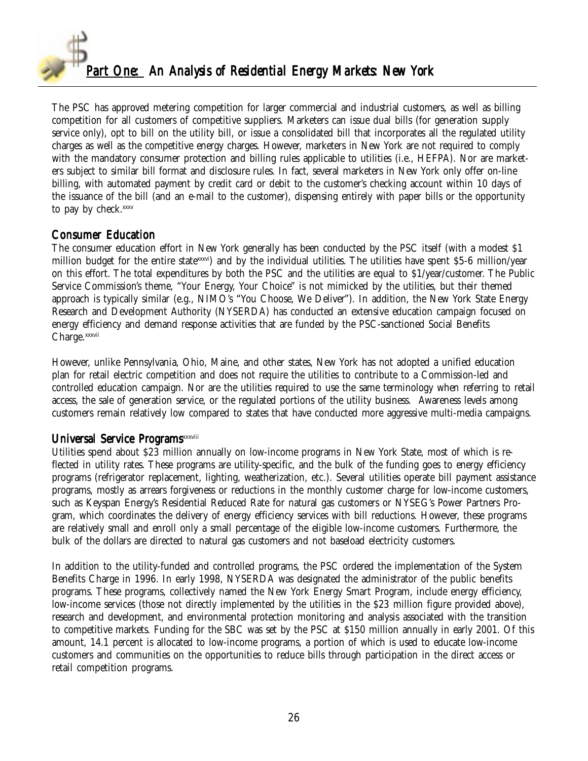

The PSC has approved metering competition for larger commercial and industrial customers, as well as billing competition for all customers of competitive suppliers. Marketers can issue dual bills (for generation supply service only), opt to bill on the utility bill, or issue a consolidated bill that incorporates all the regulated utility charges as well as the competitive energy charges. However, marketers in New York are not required to comply with the mandatory consumer protection and billing rules applicable to utilities (i.e., HEFPA). Nor are marketers subject to similar bill format and disclosure rules. In fact, several marketers in New York only offer on-line billing, with automated payment by credit card or debit to the customer's checking account within 10 days of the issuance of the bill (and an e-mail to the customer), dispensing entirely with paper bills or the opportunity to pay by check.xxxv

### Consumer Education

The consumer education effort in New York generally has been conducted by the PSC itself (with a modest \$1 million budget for the entire state  $x x w i$  and by the individual utilities. The utilities have spent \$5-6 million/year on this effort. The total expenditures by both the PSC and the utilities are equal to \$1/year/customer. The Public Service Commission's theme, "Your Energy, Your Choice" is not mimicked by the utilities, but their themed approach is typically similar (e.g., NIMO's "You Choose, We Deliver"). In addition, the New York State Energy Research and Development Authority (NYSERDA) has conducted an extensive education campaign focused on energy efficiency and demand response activities that are funded by the PSC-sanctioned Social Benefits Charge.xxxvii

However, unlike Pennsylvania, Ohio, Maine, and other states, New York has not adopted a unified education plan for retail electric competition and does not require the utilities to contribute to a Commission-led and controlled education campaign. Nor are the utilities required to use the same terminology when referring to retail access, the sale of generation service, or the regulated portions of the utility business. Awareness levels among customers remain relatively low compared to states that have conducted more aggressive multi-media campaigns.

### Universal Service Programs<sup>xxxviii</sup>

Utilities spend about \$23 million annually on low-income programs in New York State, most of which is reflected in utility rates. These programs are utility-specific, and the bulk of the funding goes to energy efficiency programs (refrigerator replacement, lighting, weatherization, etc.). Several utilities operate bill payment assistance programs, mostly as arrears forgiveness or reductions in the monthly customer charge for low-income customers, such as Keyspan Energy's Residential Reduced Rate for natural gas customers or NYSEG's Power Partners Program, which coordinates the delivery of energy efficiency services with bill reductions. However, these programs are relatively small and enroll only a small percentage of the eligible low-income customers. Furthermore, the bulk of the dollars are directed to natural gas customers and not baseload electricity customers.

In addition to the utility-funded and controlled programs, the PSC ordered the implementation of the System Benefits Charge in 1996. In early 1998, NYSERDA was designated the administrator of the public benefits programs. These programs, collectively named the New York Energy Smart Program, include energy efficiency, low-income services (those not directly implemented by the utilities in the \$23 million figure provided above), research and development, and environmental protection monitoring and analysis associated with the transition to competitive markets. Funding for the SBC was set by the PSC at \$150 million annually in early 2001. Of this amount, 14.1 percent is allocated to low-income programs, a portion of which is used to educate low-income customers and communities on the opportunities to reduce bills through participation in the direct access or retail competition programs.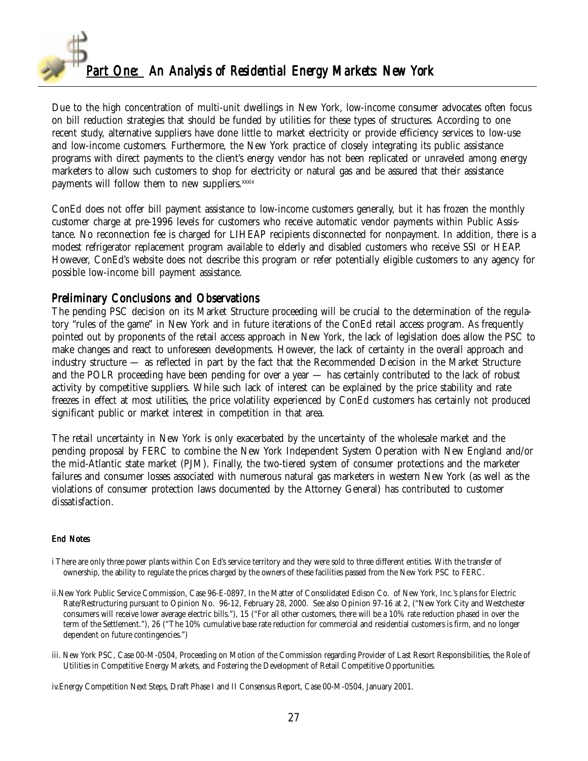

Due to the high concentration of multi-unit dwellings in New York, low-income consumer advocates often focus on bill reduction strategies that should be funded by utilities for these types of structures. According to one recent study, alternative suppliers have done little to market electricity or provide efficiency services to low-use and low-income customers. Furthermore, the New York practice of closely integrating its public assistance programs with direct payments to the client's energy vendor has not been replicated or unraveled among energy marketers to allow such customers to shop for electricity or natural gas and be assured that their assistance payments will follow them to new suppliers.<sup>xxxix</sup>

ConEd does not offer bill payment assistance to low-income customers generally, but it has frozen the monthly customer charge at pre-1996 levels for customers who receive automatic vendor payments within Public Assistance. No reconnection fee is charged for LIHEAP recipients disconnected for nonpayment. In addition, there is a modest refrigerator replacement program available to elderly and disabled customers who receive SSI or HEAP. However, ConEd's website does not describe this program or refer potentially eligible customers to any agency for possible low-income bill payment assistance.

#### Preliminary Conclusions and Observations

The pending PSC decision on its Market Structure proceeding will be crucial to the determination of the regulatory "rules of the game" in New York and in future iterations of the ConEd retail access program. As frequently pointed out by proponents of the retail access approach in New York, the lack of legislation does allow the PSC to make changes and react to unforeseen developments. However, the lack of certainty in the overall approach and industry structure — as reflected in part by the fact that the Recommended Decision in the Market Structure and the POLR proceeding have been pending for over a year — has certainly contributed to the lack of robust activity by competitive suppliers. While such lack of interest can be explained by the price stability and rate freezes in effect at most utilities, the price volatility experienced by ConEd customers has certainly not produced significant public or market interest in competition in that area.

The retail uncertainty in New York is only exacerbated by the uncertainty of the wholesale market and the pending proposal by FERC to combine the New York Independent System Operation with New England and/or the mid-Atlantic state market (PJM). Finally, the two-tiered system of consumer protections and the marketer failures and consumer losses associated with numerous natural gas marketers in western New York (as well as the violations of consumer protection laws documented by the Attorney General) has contributed to customer dissatisfaction.

#### End Notes

- i There are only three power plants within Con Ed's service territory and they were sold to three different entities. With the transfer of ownership, the ability to regulate the prices charged by the owners of these facilities passed from the New York PSC to FERC.
- ii.New York Public Service Commission, Case 96-E-0897, In the Matter of Consolidated Edison Co. of New York, Inc.'s plans for Electric Rate/Restructuring pursuant to Opinion No. 96-12, February 28, 2000. See also Opinion 97-16 at 2, ("New York City and Westchester consumers will receive lower average electric bills."), 15 ("For all other customers, there will be a 10% rate reduction phased in over the term of the Settlement."), 26 ("The 10% cumulative base rate reduction for commercial and residential customers is firm, and no longer dependent on future contingencies.")
- iii. New York PSC, Case 00-M-0504, Proceeding on Motion of the Commission regarding Provider of Last Resort Responsibilities, the Role of Utilities in Competitive Energy Markets, and Fostering the Development of Retail Competitive Opportunities.

iv.Energy Competition Next Steps, Draft Phase I and II Consensus Report, Case 00-M-0504, January 2001.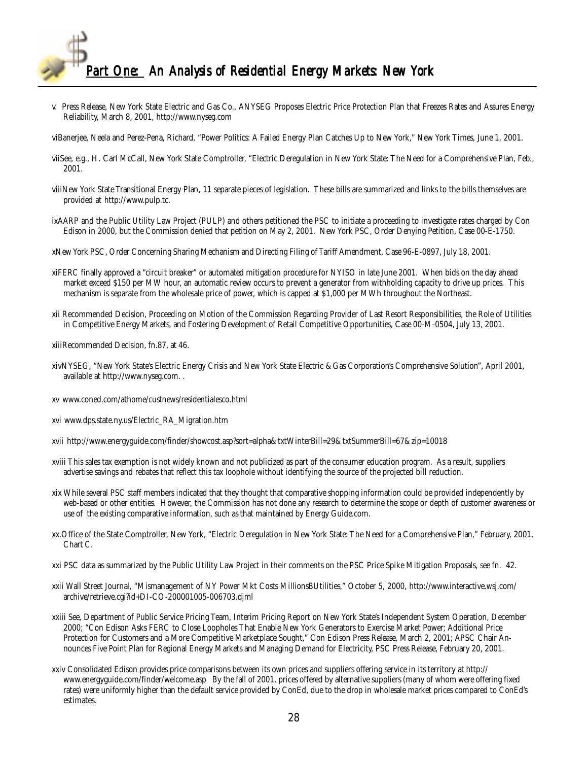

- v. Press Release, New York State Electric and Gas Co., ANYSEG Proposes Electric Price Protection Plan that Freezes Rates and Assures Energy Reliability, March 8, 2001, http://www.nyseg.com
- viBanerjee, Neela and Perez-Pena, Richard, "Power Politics: A Failed Energy Plan Catches Up to New York," New York Times, June 1, 2001.
- viiSee, e.g., H. Carl McCall, New York State Comptroller, "Electric Deregulation in New York State: The Need for a Comprehensive Plan, Feb., 2001.
- viiiNew York State Transitional Energy Plan, 11 separate pieces of legislation. These bills are summarized and links to the bills themselves are provided at http://www.pulp.tc.
- ixAARP and the Public Utility Law Project (PULP) and others petitioned the PSC to initiate a proceeding to investigate rates charged by Con Edison in 2000, but the Commission denied that petition on May 2, 2001. New York PSC, Order Denying Petition, Case 00-E-1750.
- xNew York PSC, Order Concerning Sharing Mechanism and Directing Filing of Tariff Amendment, Case 96-E-0897, July 18, 2001.
- xiFERC finally approved a "circuit breaker" or automated mitigation procedure for NYISO in late June 2001. When bids on the day ahead market exceed \$150 per MW hour, an automatic review occurs to prevent a generator from withholding capacity to drive up prices. This mechanism is separate from the wholesale price of power, which is capped at \$1,000 per MWh throughout the Northeast.
- xii Recommended Decision, Proceeding on Motion of the Commission Regarding Provider of Last Resort Responsibilities, the Role of Utilities in Competitive Energy Markets, and Fostering Development of Retail Competitive Opportunities, Case 00-M-0504, July 13, 2001.
- xiiiRecommended Decision, fn.87, at 46.
- xivNYSEG, "New York State's Electric Energy Crisis and New York State Electric &Gas Corporation's Comprehensive Solution", April 2001, available at http://www.nyseg.com. .
- xv www.coned.com/athome/custnews/residentialesco.html
- xvi www.dps.state.ny.us/Electric\_RA\_Migration.htm
- xvii http://www.energyguide.com/finder/showcost.asp?sort=alpha&txtWinterBill=29&txtSummerBill=67&zip=10018
- xviii This sales tax exemption is not widely known and not publicized as part of the consumer education program. As a result, suppliers advertise savings and rebates that reflect this tax loophole without identifying the source of the projected bill reduction.
- xix While several PSC staff members indicated that they thought that comparative shopping information could be provided independently by web-based or other entities. However, the Commission has not done any research to determine the scope or depth of customer awareness or use of the existing comparative information, such as that maintained by Energy Guide.com.
- xx.Office of the State Comptroller, New York, "Electric Deregulation in New York State: The Need for a Comprehensive Plan," February, 2001, Chart C.
- xxi PSC data as summarized by the Public Utility Law Project in their comments on the PSC Price Spike Mitigation Proposals, see fn. 42.
- xxii Wall Street Journal, "Mismanagement of NY Power Mkt Costs MillionsBUtilities," October 5, 2000, http://www.interactive.wsj.com/ archive/retrieve.cgi?id+DI-CO-200001005-006703.djml
- xxiii See, Department of Public Service Pricing Team, Interim Pricing Report on New York State's Independent System Operation, December 2000; "Con Edison Asks FERC to Close Loopholes That Enable New York Generators to Exercise Market Power; Additional Price Protection for Customers and a More Competitive Marketplace Sought," Con Edison Press Release, March 2, 2001; APSC Chair Announces Five Point Plan for Regional Energy Markets and Managing Demand for Electricity, PSC Press Release, February 20, 2001.
- xxiv Consolidated Edison provides price comparisons between its own prices and suppliers offering service in its territory at http:// www.energyguide.com/finder/welcome.asp By the fall of 2001, prices offered by alternative suppliers (many of whom were offering fixed rates) were uniformly higher than the default service provided by ConEd, due to the drop in wholesale market prices compared to ConEd's estimates.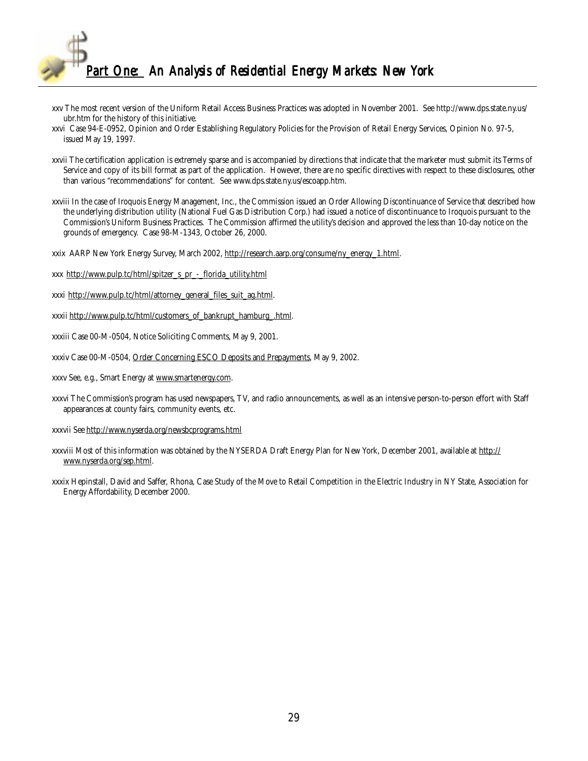

- xxv The most recent version of the Uniform Retail Access Business Practices was adopted in November 2001. See http://www.dps.state.ny.us/ ubr.htm for the history of this initiative.
- xxvi Case 94-E-0952, Opinion and Order Establishing Regulatory Policies for the Provision of Retail Energy Services, Opinion No. 97-5, issued May 19, 1997.
- xxvii The certification application is extremely sparse and is accompanied by directions that indicate that the marketer must submit its Terms of Service and copy of its bill format as part of the application. However, there are no specific directives with respect to these disclosures, other than various "recommendations" for content. See www.dps.state.ny.us/escoapp.htm.
- xxviii In the case of Iroquois Energy Management, Inc., the Commission issued an Order Allowing Discontinuance of Service that described how the underlying distribution utility (National Fuel Gas Distribution Corp.) had issued a notice of discontinuance to Iroquois pursuant to the Commission's Uniform Business Practices. The Commission affirmed the utility's decision and approved the less than 10-day notice on the grounds of emergency. Case 98-M-1343, October 26, 2000.
- xxix AARP New York Energy Survey, March 2002, http://research.aarp.org/consume/ny\_energy\_1.html.
- xxx http://www.pulp.tc/html/spitzer\_s\_pr\_-\_florida\_utility.html
- xxxi http://www.pulp.tc/html/attorney\_general\_files\_suit\_ag.html.
- xxxii http://www.pulp.tc/html/customers\_of\_bankrupt\_hamburg\_.html.
- xxxiii Case 00-M-0504, Notice Soliciting Comments, May 9, 2001.
- xxxiv Case 00-M-0504, Order Concerning ESCO Deposits and Prepayments, May 9, 2002.
- xxxv See, e.g., Smart Energy at www.smartenergy.com.
- xxxvi The Commission's program has used newspapers, TV, and radio announcements, as well as an intensive person-to-person effort with Staff appearances at county fairs, community events, etc.
- xxxvii See http://www.nyserda.org/newsbcprograms.html
- xxxviii Most of this information was obtained by the NYSERDA Draft Energy Plan for New York, December 2001, available at http:// www.nyserda.org/sep.html.
- xxxix Hepinstall, David and Saffer, Rhona, Case Study of the Move to Retail Competition in the Electric Industry in NY State, Association for Energy Affordability, December 2000.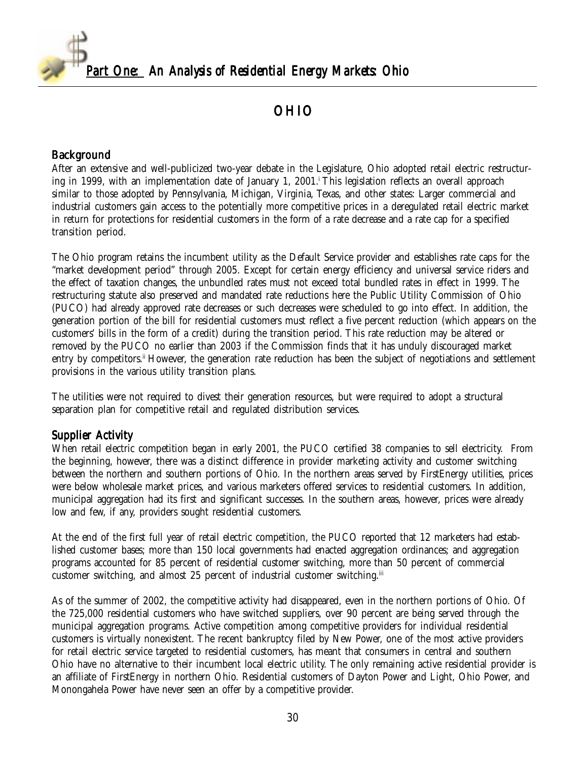<span id="page-29-0"></span>

# OHIO

#### Background

After an extensive and well-publicized two-year debate in the Legislature, Ohio adopted retail electric restructuring in 1999, with an implementation date of January 1, 2001.<sup>1</sup> This legislation reflects an overall approach similar to those adopted by Pennsylvania, Michigan, Virginia, Texas, and other states: Larger commercial and industrial customers gain access to the potentially more competitive prices in a deregulated retail electric market in return for protections for residential customers in the form of a rate decrease and a rate cap for a specified transition period.

The Ohio program retains the incumbent utility as the Default Service provider and establishes rate caps for the "market development period" through 2005. Except for certain energy efficiency and universal service riders and the effect of taxation changes, the unbundled rates must not exceed total bundled rates in effect in 1999. The restructuring statute also preserved and mandated rate reductions here the Public Utility Commission of Ohio (PUCO) had already approved rate decreases or such decreases were scheduled to go into effect. In addition, the generation portion of the bill for residential customers must reflect a five percent reduction (which appears on the customers' bills in the form of a credit) during the transition period. This rate reduction may be altered or removed by the PUCO no earlier than 2003 if the Commission finds that it has unduly discouraged market entry by competitors.<sup>ii</sup> However, the generation rate reduction has been the subject of negotiations and settlement provisions in the various utility transition plans.

The utilities were not required to divest their generation resources, but were required to adopt a structural separation plan for competitive retail and regulated distribution services.

### Supplier Activity

When retail electric competition began in early 2001, the PUCO certified 38 companies to sell electricity. From the beginning, however, there was a distinct difference in provider marketing activity and customer switching between the northern and southern portions of Ohio. In the northern areas served by FirstEnergy utilities, prices were below wholesale market prices, and various marketers offered services to residential customers. In addition, municipal aggregation had its first and significant successes. In the southern areas, however, prices were already low and few, if any, providers sought residential customers.

At the end of the first full year of retail electric competition, the PUCO reported that 12 marketers had established customer bases; more than 150 local governments had enacted aggregation ordinances; and aggregation programs accounted for 85 percent of residential customer switching, more than 50 percent of commercial customer switching, and almost 25 percent of industrial customer switching.<sup>iii</sup>

As of the summer of 2002, the competitive activity had disappeared, even in the northern portions of Ohio. Of the 725,000 residential customers who have switched suppliers, over 90 percent are being served through the municipal aggregation programs. Active competition among competitive providers for individual residential customers is virtually nonexistent. The recent bankruptcy filed by New Power, one of the most active providers for retail electric service targeted to residential customers, has meant that consumers in central and southern Ohio have no alternative to their incumbent local electric utility. The only remaining active residential provider is an affiliate of FirstEnergy in northern Ohio. Residential customers of Dayton Power and Light, Ohio Power, and Monongahela Power have never seen an offer by a competitive provider.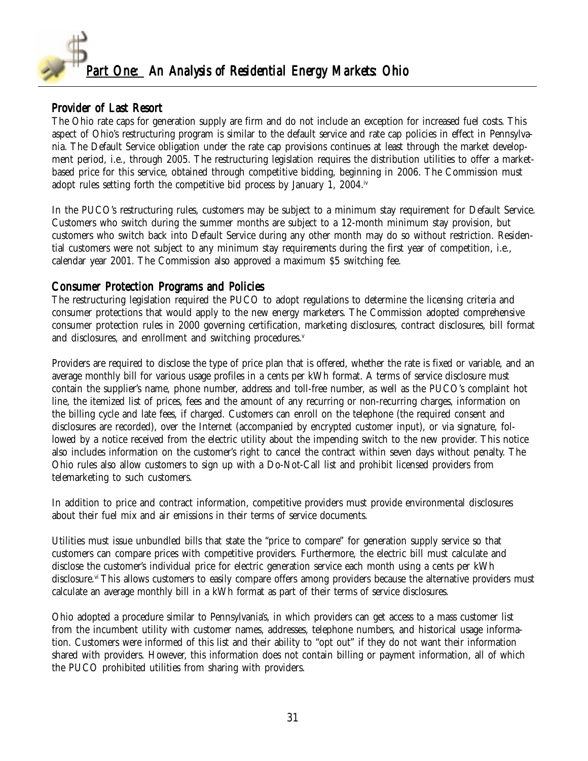

### Provider of Last Resort

The Ohio rate caps for generation supply are firm and do not include an exception for increased fuel costs. This aspect of Ohio's restructuring program is similar to the default service and rate cap policies in effect in Pennsylvania. The Default Service obligation under the rate cap provisions continues at least through the market development period, i.e., through 2005. The restructuring legislation requires the distribution utilities to offer a marketbased price for this service, obtained through competitive bidding, beginning in 2006. The Commission must adopt rules setting forth the competitive bid process by January 1, 2004.iv

In the PUCO's restructuring rules, customers may be subject to a minimum stay requirement for Default Service. Customers who switch during the summer months are subject to a 12-month minimum stay provision, but customers who switch back into Default Service during any other month may do so without restriction. Residential customers were not subject to any minimum stay requirements during the first year of competition, i.e., calendar year 2001. The Commission also approved a maximum \$5 switching fee.

#### Consumer Protection Programs and Policies

The restructuring legislation required the PUCO to adopt regulations to determine the licensing criteria and consumer protections that would apply to the new energy marketers. The Commission adopted comprehensive consumer protection rules in 2000 governing certification, marketing disclosures, contract disclosures, bill format and disclosures, and enrollment and switching procedures.<sup>v</sup>

Providers are required to disclose the type of price plan that is offered, whether the rate is fixed or variable, and an average monthly bill for various usage profiles in a cents per kWh format. A terms of service disclosure must contain the supplier's name, phone number, address and toll-free number, as well as the PUCO's complaint hot line, the itemized list of prices, fees and the amount of any recurring or non-recurring charges, information on the billing cycle and late fees, if charged. Customers can enroll on the telephone (the required consent and disclosures are recorded), over the Internet (accompanied by encrypted customer input), or via signature, followed by a notice received from the electric utility about the impending switch to the new provider. This notice also includes information on the customer's right to cancel the contract within seven days without penalty. The Ohio rules also allow customers to sign up with a Do-Not-Call list and prohibit licensed providers from telemarketing to such customers.

In addition to price and contract information, competitive providers must provide environmental disclosures about their fuel mix and air emissions in their terms of service documents.

Utilities must issue unbundled bills that state the "price to compare" for generation supply service so that customers can compare prices with competitive providers. Furthermore, the electric bill must calculate and disclose the customer's individual price for electric generation service each month using a cents per kWh disclosure.<sup>vi</sup> This allows customers to easily compare offers among providers because the alternative providers must calculate an average monthly bill in a kWh format as part of their terms of service disclosures.

Ohio adopted a procedure similar to Pennsylvania's, in which providers can get access to a mass customer list from the incumbent utility with customer names, addresses, telephone numbers, and historical usage information. Customers were informed of this list and their ability to "opt out" if they do not want their information shared with providers. However, this information does not contain billing or payment information, all of which the PUCO prohibited utilities from sharing with providers.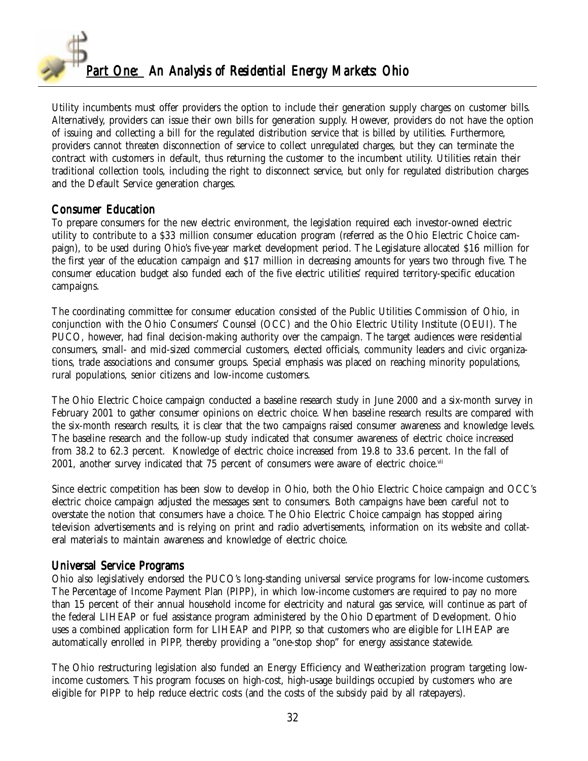

Utility incumbents must offer providers the option to include their generation supply charges on customer bills. Alternatively, providers can issue their own bills for generation supply. However, providers do not have the option of issuing and collecting a bill for the regulated distribution service that is billed by utilities. Furthermore, providers cannot threaten disconnection of service to collect unregulated charges, but they can terminate the contract with customers in default, thus returning the customer to the incumbent utility. Utilities retain their traditional collection tools, including the right to disconnect service, but only for regulated distribution charges and the Default Service generation charges.

#### Consumer Education

To prepare consumers for the new electric environment, the legislation required each investor-owned electric utility to contribute to a \$33 million consumer education program (referred as the Ohio Electric Choice campaign), to be used during Ohio's five-year market development period. The Legislature allocated \$16 million for the first year of the education campaign and \$17 million in decreasing amounts for years two through five. The consumer education budget also funded each of the five electric utilities' required territory-specific education campaigns.

The coordinating committee for consumer education consisted of the Public Utilities Commission of Ohio, in conjunction with the Ohio Consumers' Counsel (OCC) and the Ohio Electric Utility Institute (OEUI). The PUCO, however, had final decision-making authority over the campaign. The target audiences were residential consumers, small- and mid-sized commercial customers, elected officials, community leaders and civic organizations, trade associations and consumer groups. Special emphasis was placed on reaching minority populations, rural populations, senior citizens and low-income customers.

The Ohio Electric Choice campaign conducted a baseline research study in June 2000 and a six-month survey in February 2001 to gather consumer opinions on electric choice. When baseline research results are compared with the six-month research results, it is clear that the two campaigns raised consumer awareness and knowledge levels. The baseline research and the follow-up study indicated that consumer awareness of electric choice increased from 38.2 to 62.3 percent. Knowledge of electric choice increased from 19.8 to 33.6 percent. In the fall of 2001, another survey indicated that 75 percent of consumers were aware of electric choice. $v<sup>ii</sup>$ 

Since electric competition has been slow to develop in Ohio, both the Ohio Electric Choice campaign and OCC's electric choice campaign adjusted the messages sent to consumers. Both campaigns have been careful not to overstate the notion that consumers have a choice. The Ohio Electric Choice campaign has stopped airing television advertisements and is relying on print and radio advertisements, information on its website and collateral materials to maintain awareness and knowledge of electric choice.

### Universal Service Programs

Ohio also legislatively endorsed the PUCO's long-standing universal service programs for low-income customers. The Percentage of Income Payment Plan (PIPP), in which low-income customers are required to pay no more than 15 percent of their annual household income for electricity and natural gas service, will continue as part of the federal LIHEAP or fuel assistance program administered by the Ohio Department of Development. Ohio uses a combined application form for LIHEAP and PIPP, so that customers who are eligible for LIHEAP are automatically enrolled in PIPP, thereby providing a "one-stop shop" for energy assistance statewide.

The Ohio restructuring legislation also funded an Energy Efficiency and Weatherization program targeting lowincome customers. This program focuses on high-cost, high-usage buildings occupied by customers who are eligible for PIPP to help reduce electric costs (and the costs of the subsidy paid by all ratepayers).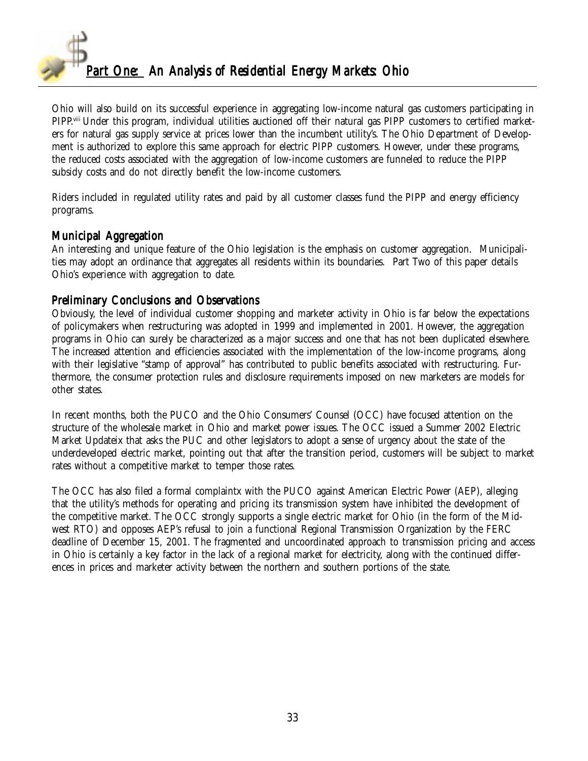

Ohio will also build on its successful experience in aggregating low-income natural gas customers participating in PIPP.viii Under this program, individual utilities auctioned off their natural gas PIPP customers to certified marketers for natural gas supply service at prices lower than the incumbent utility's. The Ohio Department of Development is authorized to explore this same approach for electric PIPP customers. However, under these programs, the reduced costs associated with the aggregation of low-income customers are funneled to reduce the PIPP subsidy costs and do not directly benefit the low-income customers.

Riders included in regulated utility rates and paid by all customer classes fund the PIPP and energy efficiency programs.

#### Municipal Aggregation

An interesting and unique feature of the Ohio legislation is the emphasis on customer aggregation. Municipalities may adopt an ordinance that aggregates all residents within its boundaries. Part Two of this paper details Ohio's experience with aggregation to date.

#### Preliminary Conclusions and Observations

Obviously, the level of individual customer shopping and marketer activity in Ohio is far below the expectations of policymakers when restructuring was adopted in 1999 and implemented in 2001. However, the aggregation programs in Ohio can surely be characterized as a major success and one that has not been duplicated elsewhere. The increased attention and efficiencies associated with the implementation of the low-income programs, along with their legislative "stamp of approval" has contributed to public benefits associated with restructuring. Furthermore, the consumer protection rules and disclosure requirements imposed on new marketers are models for other states.

In recent months, both the PUCO and the Ohio Consumers' Counsel (OCC) have focused attention on the structure of the wholesale market in Ohio and market power issues. The OCC issued a Summer 2002 Electric Market Updateix that asks the PUC and other legislators to adopt a sense of urgency about the state of the underdeveloped electric market, pointing out that after the transition period, customers will be subject to market rates without a competitive market to temper those rates.

The OCC has also filed a formal complaintx with the PUCO against American Electric Power (AEP), alleging that the utility's methods for operating and pricing its transmission system have inhibited the development of the competitive market. The OCC strongly supports a single electric market for Ohio (in the form of the Midwest RTO) and opposes AEP's refusal to join a functional Regional Transmission Organization by the FERC deadline of December 15, 2001. The fragmented and uncoordinated approach to transmission pricing and access in Ohio is certainly a key factor in the lack of a regional market for electricity, along with the continued differences in prices and marketer activity between the northern and southern portions of the state.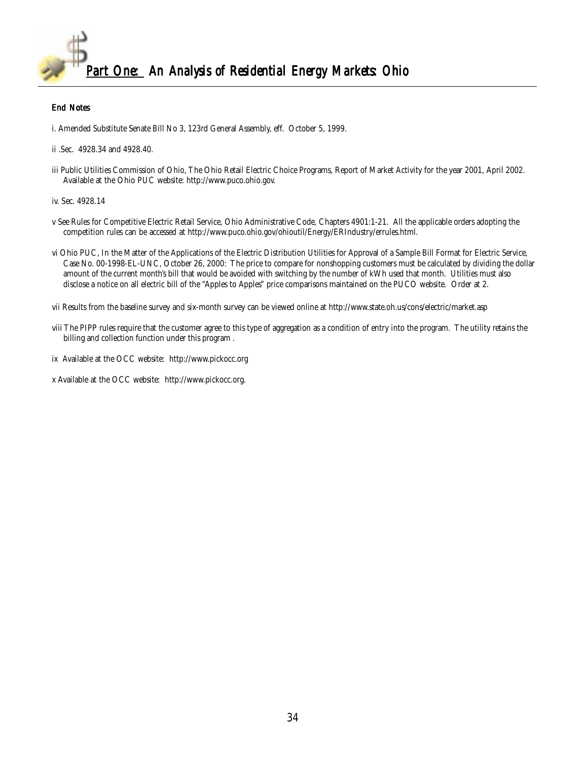

#### End Notes

i. Amended Substitute Senate Bill No 3, 123rd General Assembly, eff. October 5, 1999.

iii Public Utilities Commission of Ohio, The Ohio Retail Electric Choice Programs, Report of Market Activity for the year 2001, April 2002. Available at the Ohio PUC website: http://www.puco.ohio.gov.

iv. Sec. 4928.14

- v See Rules for Competitive Electric Retail Service, Ohio Administrative Code, Chapters 4901:1-21. All the applicable orders adopting the competition rules can be accessed at http://www.puco.ohio.gov/ohioutil/Energy/ERIndustry/errules.html.
- vi Ohio PUC, In the Matter of the Applications of the Electric Distribution Utilities for Approval of a Sample Bill Format for Electric Service, Case No. 00-1998-EL-UNC, October 26, 2000: The price to compare for nonshopping customers must be calculated by dividing the dollar amount of the current month's bill that would be avoided with switching by the number of kWh used that month. Utilities must also disclose a notice on all electric bill of the "Apples to Apples" price comparisons maintained on the PUCO website. Order at 2.

vii Results from the baseline survey and six-month survey can be viewed online at http://www.state.oh.us/cons/electric/market.asp

- viii The PIPP rules require that the customer agree to this type of aggregation as a condition of entry into the program. The utility retains the billing and collection function under this program .
- ix Available at the OCC website: http://www.pickocc.org
- x Available at the OCC website: http://www.pickocc.org.

ii .Sec. 4928.34 and 4928.40.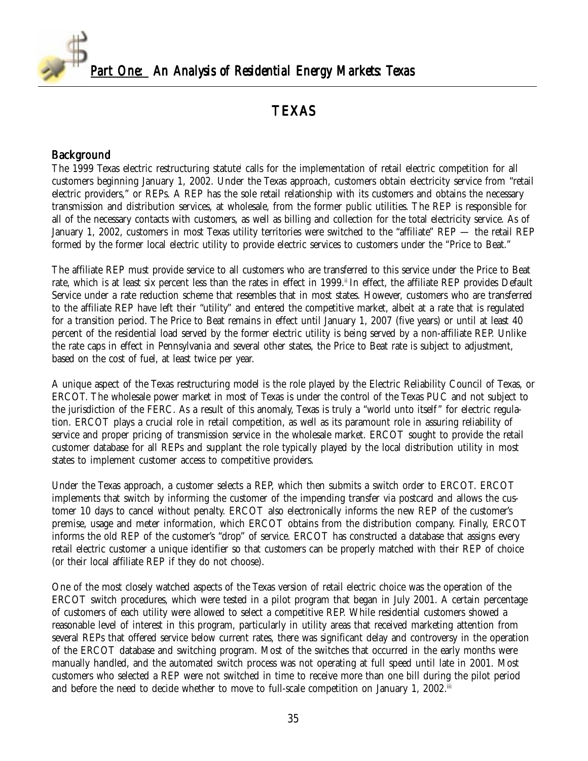<span id="page-34-0"></span>

## TEXAS

#### Background

The 1999 Texas electric restructuring statute<sup>i</sup> calls for the implementation of retail electric competition for all customers beginning January 1, 2002. Under the Texas approach, customers obtain electricity service from "retail electric providers," or REPs. A REP has the sole retail relationship with its customers and obtains the necessary transmission and distribution services, at wholesale, from the former public utilities. The REP is responsible for all of the necessary contacts with customers, as well as billing and collection for the total electricity service. As of January 1, 2002, customers in most Texas utility territories were switched to the "affiliate" REP — the retail REP formed by the former local electric utility to provide electric services to customers under the "Price to Beat."

The affiliate REP must provide service to all customers who are transferred to this service under the Price to Beat rate, which is at least six percent less than the rates in effect in 1999.<sup>ii</sup> In effect, the affiliate REP provides Default Service under a rate reduction scheme that resembles that in most states. However, customers who are transferred to the affiliate REP have left their "utility" and entered the competitive market, albeit at a rate that is regulated for a transition period. The Price to Beat remains in effect until January 1, 2007 (five years) or until at least 40 percent of the residential load served by the former electric utility is being served by a non-affiliate REP. Unlike the rate caps in effect in Pennsylvania and several other states, the Price to Beat rate is subject to adjustment, based on the cost of fuel, at least twice per year.

A unique aspect of the Texas restructuring model is the role played by the Electric Reliability Council of Texas, or ERCOT. The wholesale power market in most of Texas is under the control of the Texas PUC and not subject to the jurisdiction of the FERC. As a result of this anomaly, Texas is truly a "world unto itself" for electric regulation. ERCOT plays a crucial role in retail competition, as well as its paramount role in assuring reliability of service and proper pricing of transmission service in the wholesale market. ERCOT sought to provide the retail customer database for all REPs and supplant the role typically played by the local distribution utility in most states to implement customer access to competitive providers.

Under the Texas approach, a customer selects a REP, which then submits a switch order to ERCOT. ERCOT implements that switch by informing the customer of the impending transfer via postcard and allows the customer 10 days to cancel without penalty. ERCOT also electronically informs the new REP of the customer's premise, usage and meter information, which ERCOT obtains from the distribution company. Finally, ERCOT informs the old REP of the customer's "drop" of service. ERCOT has constructed a database that assigns every retail electric customer a unique identifier so that customers can be properly matched with their REP of choice (or their local affiliate REP if they do not choose).

One of the most closely watched aspects of the Texas version of retail electric choice was the operation of the ERCOT switch procedures, which were tested in a pilot program that began in July 2001. A certain percentage of customers of each utility were allowed to select a competitive REP. While residential customers showed a reasonable level of interest in this program, particularly in utility areas that received marketing attention from several REPs that offered service below current rates, there was significant delay and controversy in the operation of the ERCOT database and switching program. Most of the switches that occurred in the early months were manually handled, and the automated switch process was not operating at full speed until late in 2001. Most customers who selected a REP were not switched in time to receive more than one bill during the pilot period and before the need to decide whether to move to full-scale competition on January 1, 2002.<sup>iii</sup>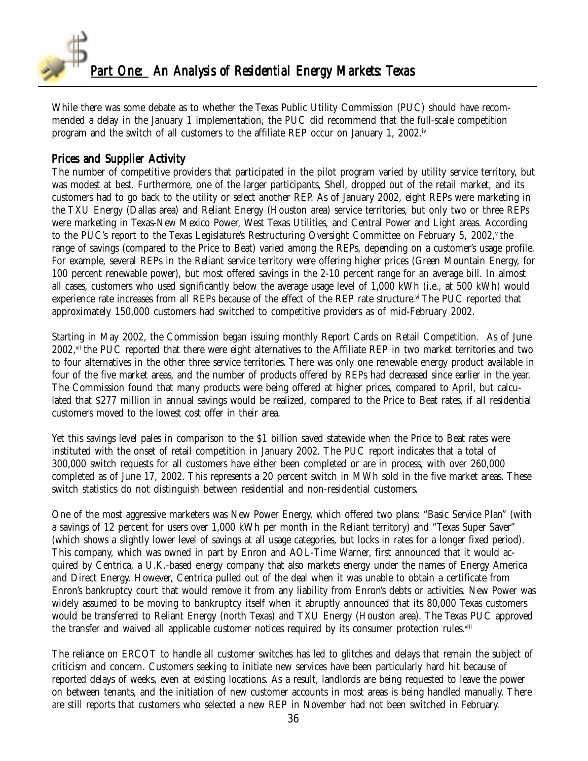

While there was some debate as to whether the Texas Public Utility Commission (PUC) should have recommended a delay in the January 1 implementation, the PUC did recommend that the full-scale competition program and the switch of all customers to the affiliate REP occur on January 1, 2002.<sup>iv</sup>

#### Prices and Supplier Activity

The number of competitive providers that participated in the pilot program varied by utility service territory, but was modest at best. Furthermore, one of the larger participants, Shell, dropped out of the retail market, and its customers had to go back to the utility or select another REP. As of January 2002, eight REPs were marketing in the TXU Energy (Dallas area) and Reliant Energy (Houston area) service territories, but only two or three REPs were marketing in Texas-New Mexico Power, West Texas Utilities, and Central Power and Light areas. According to the PUC's report to the Texas Legislature's Restructuring Oversight Committee on February 5, 2002, $v$  the range of savings (compared to the Price to Beat) varied among the REPs, depending on a customer's usage profile. For example, several REPs in the Reliant service territory were offering higher prices (Green Mountain Energy, for 100 percent renewable power), but most offered savings in the 2-10 percent range for an average bill. In almost all cases, customers who used significantly below the average usage level of 1,000 kWh (i.e., at 500 kWh) would experience rate increases from all REPs because of the effect of the REP rate structure.<sup>vi</sup> The PUC reported that approximately 150,000 customers had switched to competitive providers as of mid-February 2002.

Starting in May 2002, the Commission began issuing monthly Report Cards on Retail Competition. As of June 2002,vii the PUC reported that there were eight alternatives to the Affiliate REP in two market territories and two to four alternatives in the other three service territories. There was only one renewable energy product available in four of the five market areas, and the number of products offered by REPs had decreased since earlier in the year. The Commission found that many products were being offered at higher prices, compared to April, but calculated that \$277 million in annual savings would be realized, compared to the Price to Beat rates, if all residential customers moved to the lowest cost offer in their area.

Yet this savings level pales in comparison to the \$1 billion saved statewide when the Price to Beat rates were instituted with the onset of retail competition in January 2002. The PUC report indicates that a total of 300,000 switch requests for all customers have either been completed or are in process, with over 260,000 completed as of June 17, 2002. This represents a 20 percent switch in MWh sold in the five market areas. These switch statistics do not distinguish between residential and non-residential customers.

One of the most aggressive marketers was New Power Energy, which offered two plans: "Basic Service Plan" (with a savings of 12 percent for users over 1,000 kWh per month in the Reliant territory) and "Texas Super Saver" (which shows a slightly lower level of savings at all usage categories, but locks in rates for a longer fixed period). This company, which was owned in part by Enron and AOL-Time Warner, first announced that it would acquired by Centrica, a U.K.-based energy company that also markets energy under the names of Energy America and Direct Energy. However, Centrica pulled out of the deal when it was unable to obtain a certificate from Enron's bankruptcy court that would remove it from any liability from Enron's debts or activities. New Power was widely assumed to be moving to bankruptcy itself when it abruptly announced that its 80,000 Texas customers would be transferred to Reliant Energy (north Texas) and TXU Energy (Houston area). The Texas PUC approved the transfer and waived all applicable customer notices required by its consumer protection rules.<sup>viii</sup>

The reliance on ERCOT to handle all customer switches has led to glitches and delays that remain the subject of criticism and concern. Customers seeking to initiate new services have been particularly hard hit because of reported delays of weeks, even at existing locations. As a result, landlords are being requested to leave the power on between tenants, and the initiation of new customer accounts in most areas is being handled manually. There are still reports that customers who selected a new REP in November had not been switched in February.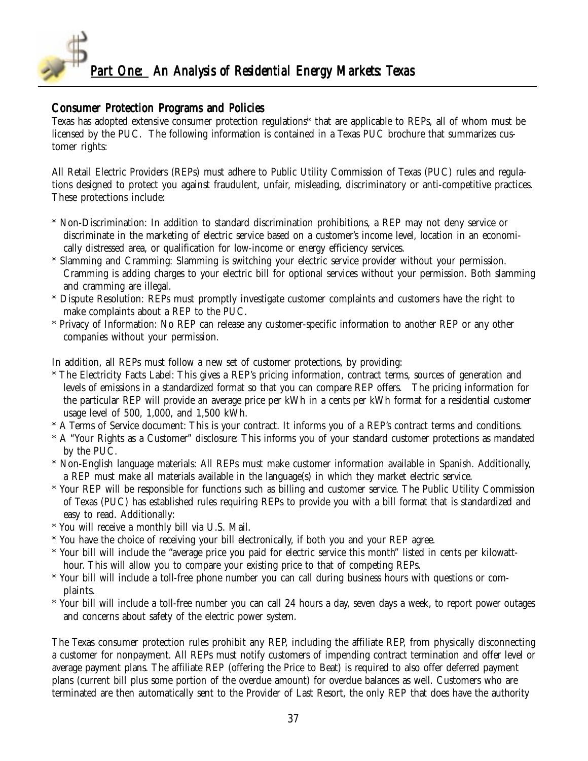

#### Consumer Protection Programs and Policies

Texas has adopted extensive consumer protection regulations<sup>ix</sup> that are applicable to REPs, all of whom must be licensed by the PUC. The following information is contained in a Texas PUC brochure that summarizes customer rights:

All Retail Electric Providers (REPs) must adhere to Public Utility Commission of Texas (PUC) rules and regulations designed to protect you against fraudulent, unfair, misleading, discriminatory or anti-competitive practices. These protections include:

- \* Non-Discrimination: In addition to standard discrimination prohibitions, a REP may not deny service or discriminate in the marketing of electric service based on a customer's income level, location in an economically distressed area, or qualification for low-income or energy efficiency services.
- Slamming and Cramming: Slamming is switching your electric service provider without your permission. Cramming is adding charges to your electric bill for optional services without your permission. Both slamming and cramming are illegal.
- \* Dispute Resolution: REPs must promptly investigate customer complaints and customers have the right to make complaints about a REP to the PUC.
- \* Privacy of Information: No REP can release any customer-specific information to another REP or any other companies without your permission.

In addition, all REPs must follow a new set of customer protections, by providing:

- The Electricity Facts Label: This gives a REP's pricing information, contract terms, sources of generation and levels of emissions in a standardized format so that you can compare REP offers. The pricing information for the particular REP will provide an average price per kWh in a cents per kWh format for a residential customer usage level of 500, 1,000, and 1,500 kWh.
- \* A Terms of Service document: This is your contract. It informs you of a REP's contract terms and conditions.
- \* A "Your Rights as a Customer" disclosure: This informs you of your standard customer protections as mandated by the PUC.
- \* Non-English language materials: All REPs must make customer information available in Spanish. Additionally, a REP must make all materials available in the language(s) in which they market electric service.
- \* Your REP will be responsible for functions such as billing and customer service. The Public Utility Commission of Texas (PUC) has established rules requiring REPs to provide you with a bill format that is standardized and easy to read. Additionally:
- \* You will receive a monthly bill via U.S. Mail.
- \* You have the choice of receiving your bill electronically, if both you and your REP agree.
- \* Your bill will include the "average price you paid for electric service this month" listed in cents per kilowatthour. This will allow you to compare your existing price to that of competing REPs.
- \* Your bill will include a toll-free phone number you can call during business hours with questions or complaints.
- \* Your bill will include a toll-free number you can call 24 hours a day, seven days a week, to report power outages and concerns about safety of the electric power system.

The Texas consumer protection rules prohibit any REP, including the affiliate REP, from physically disconnecting a customer for nonpayment. All REPs must notify customers of impending contract termination and offer level or average payment plans. The affiliate REP (offering the Price to Beat) is required to also offer deferred payment plans (current bill plus some portion of the overdue amount) for overdue balances as well. Customers who are terminated are then automatically sent to the Provider of Last Resort, the only REP that does have the authority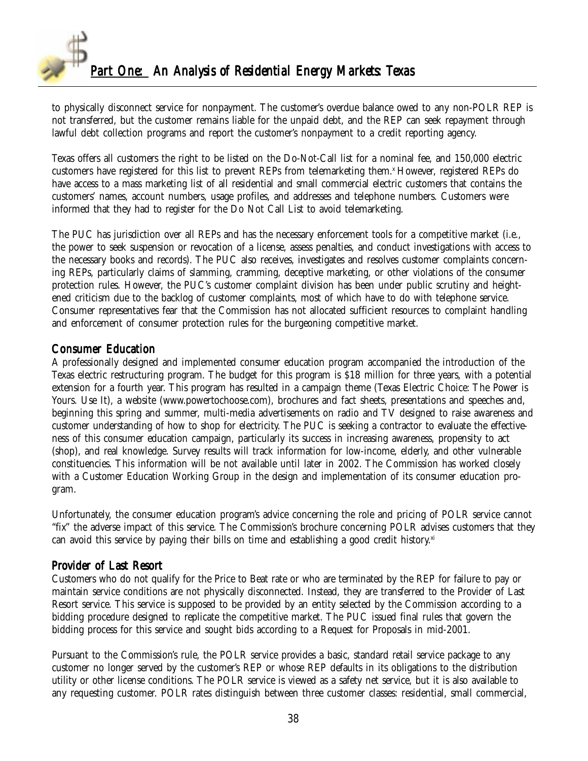

to physically disconnect service for nonpayment. The customer's overdue balance owed to any non-POLR REP is not transferred, but the customer remains liable for the unpaid debt, and the REP can seek repayment through lawful debt collection programs and report the customer's nonpayment to a credit reporting agency.

Texas offers all customers the right to be listed on the Do-Not-Call list for a nominal fee, and 150,000 electric customers have registered for this list to prevent REPs from telemarketing them.<sup>x</sup> However, registered REPs do have access to a mass marketing list of all residential and small commercial electric customers that contains the customers' names, account numbers, usage profiles, and addresses and telephone numbers. Customers were informed that they had to register for the Do Not Call List to avoid telemarketing.

The PUC has jurisdiction over all REPs and has the necessary enforcement tools for a competitive market (i.e., the power to seek suspension or revocation of a license, assess penalties, and conduct investigations with access to the necessary books and records). The PUC also receives, investigates and resolves customer complaints concerning REPs, particularly claims of slamming, cramming, deceptive marketing, or other violations of the consumer protection rules. However, the PUC's customer complaint division has been under public scrutiny and heightened criticism due to the backlog of customer complaints, most of which have to do with telephone service. Consumer representatives fear that the Commission has not allocated sufficient resources to complaint handling and enforcement of consumer protection rules for the burgeoning competitive market.

#### Consumer Education

A professionally designed and implemented consumer education program accompanied the introduction of the Texas electric restructuring program. The budget for this program is \$18 million for three years, with a potential extension for a fourth year. This program has resulted in a campaign theme (Texas Electric Choice: The Power is Yours. Use It), a website (www.powertochoose.com), brochures and fact sheets, presentations and speeches and, beginning this spring and summer, multi-media advertisements on radio and TV designed to raise awareness and customer understanding of how to shop for electricity. The PUC is seeking a contractor to evaluate the effectiveness of this consumer education campaign, particularly its success in increasing awareness, propensity to act (shop), and real knowledge. Survey results will track information for low-income, elderly, and other vulnerable constituencies. This information will be not available until later in 2002. The Commission has worked closely with a Customer Education Working Group in the design and implementation of its consumer education program.

Unfortunately, the consumer education program's advice concerning the role and pricing of POLR service cannot "fix" the adverse impact of this service. The Commission's brochure concerning POLR advises customers that they can avoid this service by paying their bills on time and establishing a good credit history.<sup>xi</sup>

### Provider of Last Resort

Customers who do not qualify for the Price to Beat rate or who are terminated by the REP for failure to pay or maintain service conditions are not physically disconnected. Instead, they are transferred to the Provider of Last Resort service. This service is supposed to be provided by an entity selected by the Commission according to a bidding procedure designed to replicate the competitive market. The PUC issued final rules that govern the bidding process for this service and sought bids according to a Request for Proposals in mid-2001.

Pursuant to the Commission's rule, the POLR service provides a basic, standard retail service package to any customer no longer served by the customer's REP or whose REP defaults in its obligations to the distribution utility or other license conditions. The POLR service is viewed as a safety net service, but it is also available to any requesting customer. POLR rates distinguish between three customer classes: residential, small commercial,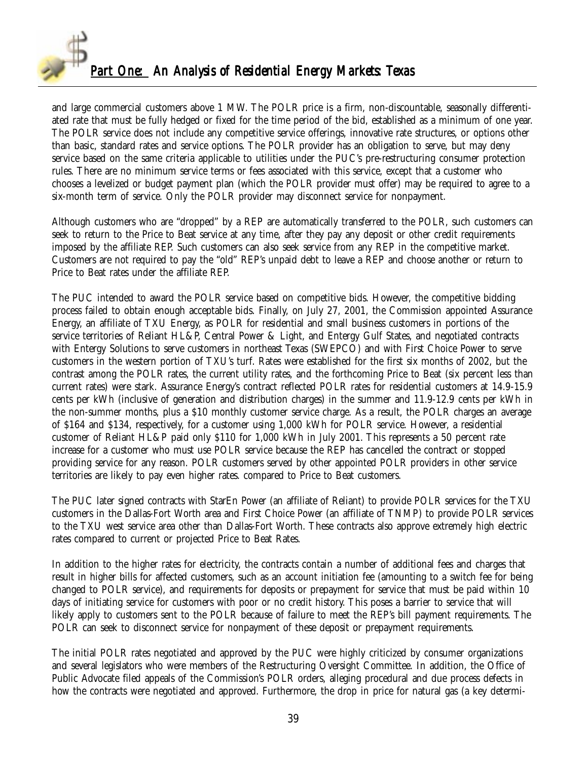

and large commercial customers above 1 MW. The POLR price is a firm, non-discountable, seasonally differentiated rate that must be fully hedged or fixed for the time period of the bid, established as a minimum of one year. The POLR service does not include any competitive service offerings, innovative rate structures, or options other than basic, standard rates and service options. The POLR provider has an obligation to serve, but may deny service based on the same criteria applicable to utilities under the PUC's pre-restructuring consumer protection rules. There are no minimum service terms or fees associated with this service, except that a customer who chooses a levelized or budget payment plan (which the POLR provider must offer) may be required to agree to a six-month term of service. Only the POLR provider may disconnect service for nonpayment.

Although customers who are "dropped" by a REP are automatically transferred to the POLR, such customers can seek to return to the Price to Beat service at any time, after they pay any deposit or other credit requirements imposed by the affiliate REP. Such customers can also seek service from any REP in the competitive market. Customers are not required to pay the "old" REP's unpaid debt to leave a REP and choose another or return to Price to Beat rates under the affiliate REP.

The PUC intended to award the POLR service based on competitive bids. However, the competitive bidding process failed to obtain enough acceptable bids. Finally, on July 27, 2001, the Commission appointed Assurance Energy, an affiliate of TXU Energy, as POLR for residential and small business customers in portions of the service territories of Reliant HL&P, Central Power & Light, and Entergy Gulf States, and negotiated contracts with Entergy Solutions to serve customers in northeast Texas (SWEPCO) and with First Choice Power to serve customers in the western portion of TXU's turf. Rates were established for the first six months of 2002, but the contrast among the POLR rates, the current utility rates, and the forthcoming Price to Beat (six percent less than current rates) were stark. Assurance Energy's contract reflected POLR rates for residential customers at 14.9-15.9 cents per kWh (inclusive of generation and distribution charges) in the summer and 11.9-12.9 cents per kWh in the non-summer months, plus a \$10 monthly customer service charge. As a result, the POLR charges an average of \$164 and \$134, respectively, for a customer using 1,000 kWh for POLR service. However, a residential customer of Reliant HL&P paid only \$110 for 1,000 kWh in July 2001. This represents a 50 percent rate increase for a customer who must use POLR service because the REP has cancelled the contract or stopped providing service for any reason. POLR customers served by other appointed POLR providers in other service territories are likely to pay even higher rates. compared to Price to Beat customers.

The PUC later signed contracts with StarEn Power (an affiliate of Reliant) to provide POLR services for the TXU customers in the Dallas-Fort Worth area and First Choice Power (an affiliate of TNMP) to provide POLR services to the TXU west service area other than Dallas-Fort Worth. These contracts also approve extremely high electric rates compared to current or projected Price to Beat Rates.

In addition to the higher rates for electricity, the contracts contain a number of additional fees and charges that result in higher bills for affected customers, such as an account initiation fee (amounting to a switch fee for being changed to POLR service), and requirements for deposits or prepayment for service that must be paid within 10 days of initiating service for customers with poor or no credit history. This poses a barrier to service that will likely apply to customers sent to the POLR because of failure to meet the REP's bill payment requirements. The POLR can seek to disconnect service for nonpayment of these deposit or prepayment requirements.

The initial POLR rates negotiated and approved by the PUC were highly criticized by consumer organizations and several legislators who were members of the Restructuring Oversight Committee. In addition, the Office of Public Advocate filed appeals of the Commission's POLR orders, alleging procedural and due process defects in how the contracts were negotiated and approved. Furthermore, the drop in price for natural gas (a key determi-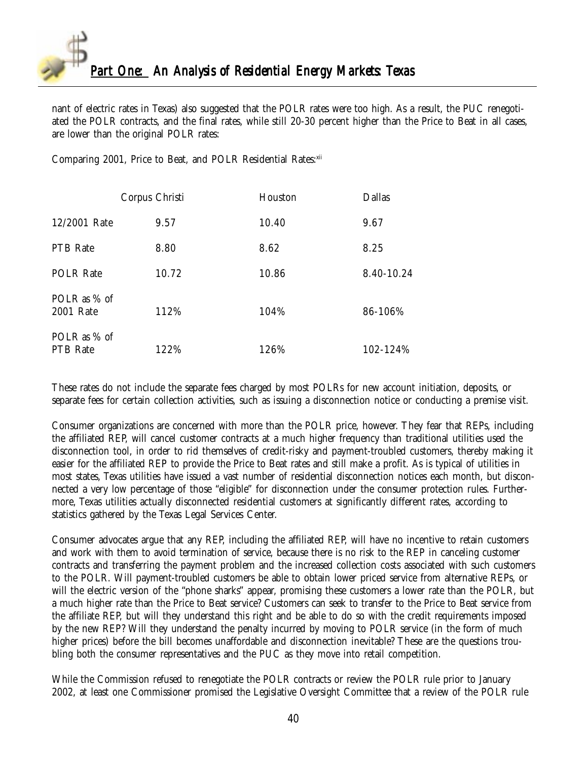

nant of electric rates in Texas) also suggested that the POLR rates were too high. As a result, the PUC renegotiated the POLR contracts, and the final rates, while still 20-30 percent higher than the Price to Beat in all cases, are lower than the original POLR rates:

Comparing 2001, Price to Beat, and POLR Residential Rates: xii

|                                 | Corpus Christi | Houston | <b>Dallas</b> |
|---------------------------------|----------------|---------|---------------|
| 12/2001 Rate                    | 9.57           | 10.40   | 9.67          |
| PTB Rate                        | 8.80           | 8.62    | 8.25          |
| <b>POLR Rate</b>                | 10.72          | 10.86   | 8.40-10.24    |
| POLR as % of<br>2001 Rate       | 112%           | 104%    | 86-106%       |
| POLR as % of<br><b>PTB</b> Rate | 122%           | 126%    | 102-124%      |

These rates do not include the separate fees charged by most POLRs for new account initiation, deposits, or separate fees for certain collection activities, such as issuing a disconnection notice or conducting a premise visit.

Consumer organizations are concerned with more than the POLR price, however. They fear that REPs, including the affiliated REP, will cancel customer contracts at a much higher frequency than traditional utilities used the disconnection tool, in order to rid themselves of credit-risky and payment-troubled customers, thereby making it easier for the affiliated REP to provide the Price to Beat rates and still make a profit. As is typical of utilities in most states, Texas utilities have issued a vast number of residential disconnection notices each month, but disconnected a very low percentage of those "eligible" for disconnection under the consumer protection rules. Furthermore, Texas utilities actually disconnected residential customers at significantly different rates, according to statistics gathered by the Texas Legal Services Center.

Consumer advocates argue that any REP, including the affiliated REP, will have no incentive to retain customers and work with them to avoid termination of service, because there is no risk to the REP in canceling customer contracts and transferring the payment problem and the increased collection costs associated with such customers to the POLR. Will payment-troubled customers be able to obtain lower priced service from alternative REPs, or will the electric version of the "phone sharks" appear, promising these customers a lower rate than the POLR, but a much higher rate than the Price to Beat service? Customers can seek to transfer to the Price to Beat service from the affiliate REP, but will they understand this right and be able to do so with the credit requirements imposed by the new REP? Will they understand the penalty incurred by moving to POLR service (in the form of much higher prices) before the bill becomes unaffordable and disconnection inevitable? These are the questions troubling both the consumer representatives and the PUC as they move into retail competition.

While the Commission refused to renegotiate the POLR contracts or review the POLR rule prior to January 2002, at least one Commissioner promised the Legislative Oversight Committee that a review of the POLR rule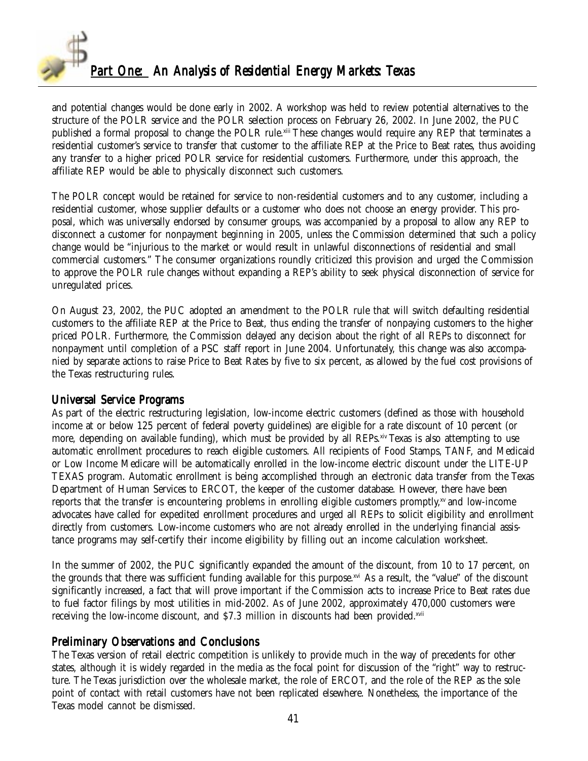

and potential changes would be done early in 2002. A workshop was held to review potential alternatives to the structure of the POLR service and the POLR selection process on February 26, 2002. In June 2002, the PUC published a formal proposal to change the POLR rule.xiii These changes would require any REP that terminates a residential customer's service to transfer that customer to the affiliate REP at the Price to Beat rates, thus avoiding any transfer to a higher priced POLR service for residential customers. Furthermore, under this approach, the affiliate REP would be able to physically disconnect such customers.

The POLR concept would be retained for service to non-residential customers and to any customer, including a residential customer, whose supplier defaults or a customer who does not choose an energy provider. This proposal, which was universally endorsed by consumer groups, was accompanied by a proposal to allow any REP to disconnect a customer for nonpayment beginning in 2005, unless the Commission determined that such a policy change would be "injurious to the market or would result in unlawful disconnections of residential and small commercial customers." The consumer organizations roundly criticized this provision and urged the Commission to approve the POLR rule changes without expanding a REP's ability to seek physical disconnection of service for unregulated prices.

On August 23, 2002, the PUC adopted an amendment to the POLR rule that will switch defaulting residential customers to the affiliate REP at the Price to Beat, thus ending the transfer of nonpaying customers to the higher priced POLR. Furthermore, the Commission delayed any decision about the right of all REPs to disconnect for nonpayment until completion of a PSC staff report in June 2004. Unfortunately, this change was also accompanied by separate actions to raise Price to Beat Rates by five to six percent, as allowed by the fuel cost provisions of the Texas restructuring rules.

#### Universal Service Programs

As part of the electric restructuring legislation, low-income electric customers (defined as those with household income at or below 125 percent of federal poverty guidelines) are eligible for a rate discount of 10 percent (or more, depending on available funding), which must be provided by all REPs.<sup>xiv</sup> Texas is also attempting to use automatic enrollment procedures to reach eligible customers. All recipients of Food Stamps, TANF, and Medicaid or Low Income Medicare will be automatically enrolled in the low-income electric discount under the LITE-UP TEXAS program. Automatic enrollment is being accomplished through an electronic data transfer from the Texas Department of Human Services to ERCOT, the keeper of the customer database. However, there have been reports that the transfer is encountering problems in enrolling eligible customers promptly, $x<sup>v</sup>$  and low-income advocates have called for expedited enrollment procedures and urged all REPs to solicit eligibility and enrollment directly from customers. Low-income customers who are not already enrolled in the underlying financial assistance programs may self-certify their income eligibility by filling out an income calculation worksheet.

In the summer of 2002, the PUC significantly expanded the amount of the discount, from 10 to 17 percent, on the grounds that there was sufficient funding available for this purpose.xvi As a result, the "value" of the discount significantly increased, a fact that will prove important if the Commission acts to increase Price to Beat rates due to fuel factor filings by most utilities in mid-2002. As of June 2002, approximately 470,000 customers were receiving the low-income discount, and \$7.3 million in discounts had been provided.xvii

### Preliminary Observations and Conclusions

The Texas version of retail electric competition is unlikely to provide much in the way of precedents for other states, although it is widely regarded in the media as the focal point for discussion of the "right" way to restructure. The Texas jurisdiction over the wholesale market, the role of ERCOT, and the role of the REP as the sole point of contact with retail customers have not been replicated elsewhere. Nonetheless, the importance of the Texas model cannot be dismissed.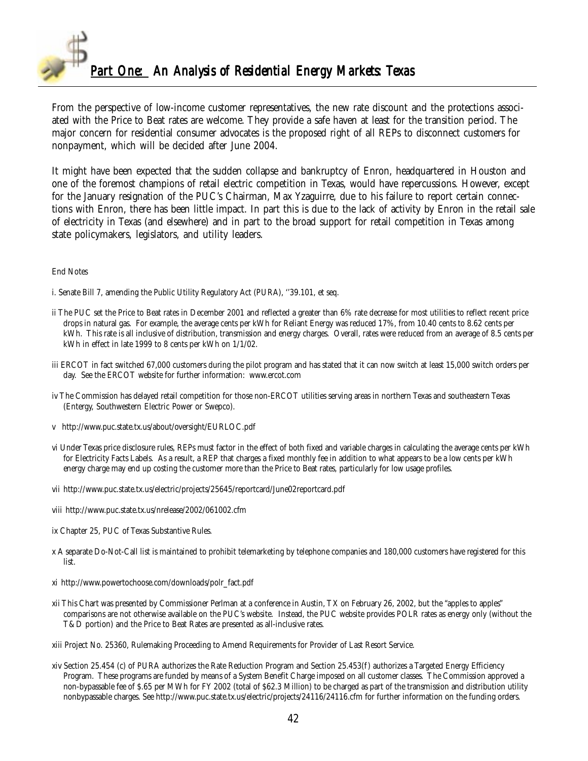

From the perspective of low-income customer representatives, the new rate discount and the protections associated with the Price to Beat rates are welcome. They provide a safe haven at least for the transition period. The major concern for residential consumer advocates is the proposed right of all REPs to disconnect customers for nonpayment, which will be decided after June 2004.

It might have been expected that the sudden collapse and bankruptcy of Enron, headquartered in Houston and one of the foremost champions of retail electric competition in Texas, would have repercussions. However, except for the January resignation of the PUC's Chairman, Max Yzaguirre, due to his failure to report certain connections with Enron, there has been little impact. In part this is due to the lack of activity by Enron in the retail sale of electricity in Texas (and elsewhere) and in part to the broad support for retail competition in Texas among state policymakers, legislators, and utility leaders.

#### End Notes

i. Senate Bill 7, amending the Public Utility Regulatory Act (PURA), ''39.101, et seq.

- ii The PUC set the Price to Beat rates in December 2001 and reflected a greater than 6% rate decrease for most utilities to reflect recent price drops in natural gas. For example, the average cents per kWh for Reliant Energy was reduced 17%, from 10.40 cents to 8.62 cents per kWh. This rate is all inclusive of distribution, transmission and energy charges. Overall, rates were reduced from an average of 8.5 cents per kWh in effect in late 1999 to 8 cents per kWh on 1/1/02.
- iii ERCOT in fact switched 67,000 customers during the pilot program and has stated that it can now switch at least 15,000 switch orders per day. See the ERCOT website for further information: www.ercot.com
- iv The Commission has delayed retail competition for those non-ERCOT utilities serving areas in northern Texas and southeastern Texas (Entergy, Southwestern Electric Power or Swepco).
- v http://www.puc.state.tx.us/about/oversight/EURLOC.pdf
- vi Under Texas price disclosure rules, REPs must factor in the effect of both fixed and variable charges in calculating the average cents per kWh for Electricity Facts Labels. As a result, a REP that charges a fixed monthly fee in addition to what appears to be a low cents per kWh energy charge may end up costing the customer more than the Price to Beat rates, particularly for low usage profiles.
- vii http://www.puc.state.tx.us/electric/projects/25645/reportcard/June02reportcard.pdf
- viii http://www.puc.state.tx.us/nrelease/2002/061002.cfm
- ix Chapter 25, PUC of Texas Substantive Rules.
- x A separate Do-Not-Call list is maintained to prohibit telemarketing by telephone companies and 180,000 customers have registered for this list.
- xi http://www.powertochoose.com/downloads/polr\_fact.pdf
- xii This Chart was presented by Commissioner Perlman at a conference in Austin, TX on February 26, 2002, but the "apples to apples" comparisons are not otherwise available on the PUC's website. Instead, the PUC website provides POLR rates as energy only (without the T&D portion) and the Price to Beat Rates are presented as all-inclusive rates.
- xiii Project No. 25360, Rulemaking Proceeding to Amend Requirements for Provider of Last Resort Service.
- xiv Section 25.454 (c) of PURA authorizes the Rate Reduction Program and Section 25.453(f) authorizes a Targeted Energy Efficiency Program. These programs are funded by means of a System Benefit Charge imposed on all customer classes. The Commission approved a non-bypassable fee of \$.65 per MWh for FY 2002 (total of \$62.3 Million) to be charged as part of the transmission and distribution utility nonbypassable charges. See http://www.puc.state.tx.us/electric/projects/24116/24116.cfm for further information on the funding orders.